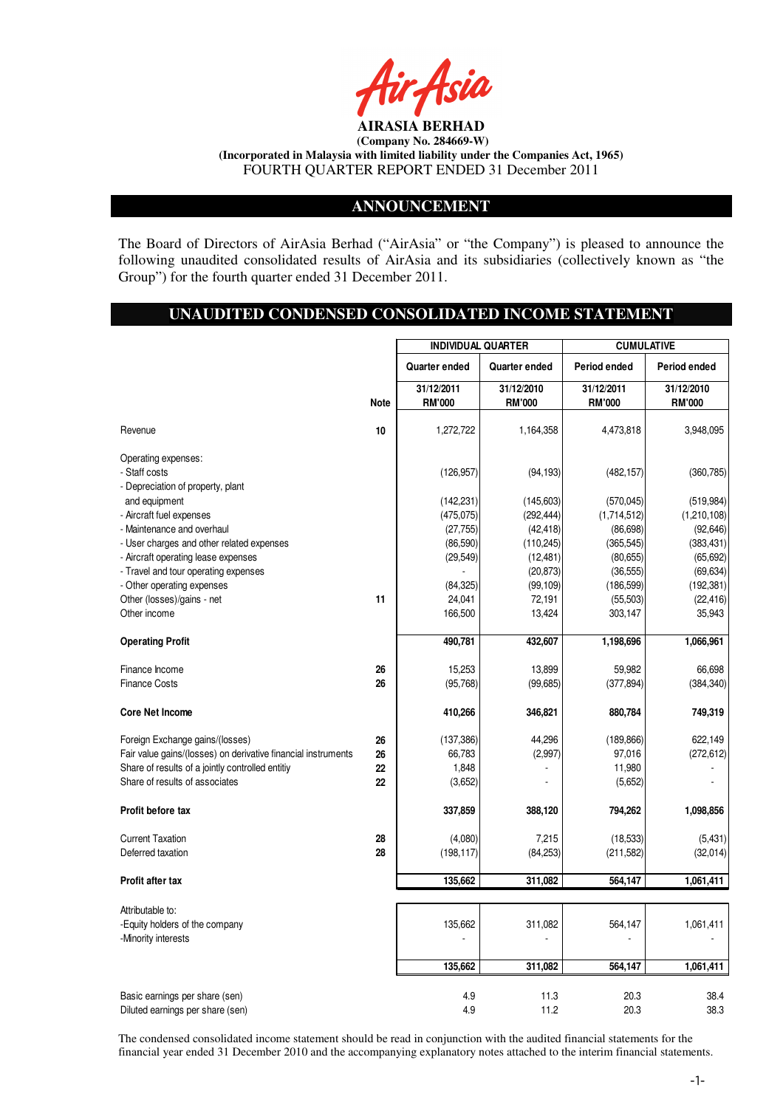

# **ANNOUNCEMENT**

The Board of Directors of AirAsia Berhad ("AirAsia" or "the Company") is pleased to announce the following unaudited consolidated results of AirAsia and its subsidiaries (collectively known as "the Group") for the fourth quarter ended 31 December 2011.

# **UNAUDITED CONDENSED CONSOLIDATED INCOME STATEMENT**

|                                                                                                                                                                                                   |                      | <b>INDIVIDUAL QUARTER</b>                                        |                                                                 | <b>CUMULATIVE</b>                                                  |                                                                    |
|---------------------------------------------------------------------------------------------------------------------------------------------------------------------------------------------------|----------------------|------------------------------------------------------------------|-----------------------------------------------------------------|--------------------------------------------------------------------|--------------------------------------------------------------------|
|                                                                                                                                                                                                   |                      | Quarter ended                                                    | Quarter ended                                                   | Period ended                                                       | Period ended                                                       |
|                                                                                                                                                                                                   | <b>Note</b>          | 31/12/2011<br><b>RM'000</b>                                      | 31/12/2010<br><b>RM'000</b>                                     | 31/12/2011<br><b>RM'000</b>                                        | 31/12/2010<br><b>RM'000</b>                                        |
| Revenue                                                                                                                                                                                           | 10                   | 1,272,722                                                        | 1,164,358                                                       | 4,473,818                                                          | 3,948,095                                                          |
| Operating expenses:<br>- Staff costs<br>- Depreciation of property, plant<br>and equipment<br>- Aircraft fuel expenses<br>- Maintenance and overhaul<br>- User charges and other related expenses |                      | (126, 957)<br>(142, 231)<br>(475, 075)<br>(27, 755)<br>(86, 590) | (94, 193)<br>(145,603)<br>(292, 444)<br>(42, 418)<br>(110, 245) | (482, 157)<br>(570, 045)<br>(1,714,512)<br>(86, 698)<br>(365, 545) | (360, 785)<br>(519, 984)<br>(1,210,108)<br>(92, 646)<br>(383, 431) |
| - Aircraft operating lease expenses<br>- Travel and tour operating expenses<br>- Other operating expenses<br>Other (losses)/gains - net<br>Other income                                           | 11                   | (29, 549)<br>(84, 325)<br>24,041<br>166,500                      | (12, 481)<br>(20, 873)<br>(99, 109)<br>72,191<br>13,424         | (80, 655)<br>(36, 555)<br>(186, 599)<br>(55, 503)<br>303,147       | (65, 692)<br>(69, 634)<br>(192, 381)<br>(22, 416)<br>35,943        |
| <b>Operating Profit</b>                                                                                                                                                                           |                      | 490,781                                                          | 432,607                                                         | 1,198,696                                                          | 1,066,961                                                          |
| Finance Income<br><b>Finance Costs</b>                                                                                                                                                            | 26<br>26             | 15,253<br>(95, 768)                                              | 13,899<br>(99, 685)                                             | 59,982<br>(377, 894)                                               | 66,698<br>(384, 340)                                               |
| <b>Core Net Income</b>                                                                                                                                                                            |                      | 410,266                                                          | 346,821                                                         | 880,784                                                            | 749,319                                                            |
| Foreign Exchange gains/(losses)<br>Fair value gains/(losses) on derivative financial instruments<br>Share of results of a jointly controlled entitiy<br>Share of results of associates            | 26<br>26<br>22<br>22 | (137, 386)<br>66,783<br>1,848<br>(3,652)                         | 44,296<br>(2,997)                                               | (189, 866)<br>97,016<br>11,980<br>(5,652)                          | 622,149<br>(272, 612)                                              |
| Profit before tax                                                                                                                                                                                 |                      | 337,859                                                          | 388,120                                                         | 794,262                                                            | 1,098,856                                                          |
| <b>Current Taxation</b><br>Deferred taxation                                                                                                                                                      | 28<br>28             | (4,080)<br>(198, 117)                                            | 7,215<br>(84, 253)                                              | (18, 533)<br>(211, 582)                                            | (5, 431)<br>(32, 014)                                              |
| <b>Profit after tax</b>                                                                                                                                                                           |                      | 135,662                                                          | 311,082                                                         | 564,147                                                            | 1,061,411                                                          |
| Attributable to:<br>-Equity holders of the company<br>-Minority interests                                                                                                                         |                      | 135,662<br>135,662                                               | 311,082<br>311,082                                              | 564,147<br>564,147                                                 | 1,061,411<br>1,061,411                                             |
| Basic earnings per share (sen)<br>Diluted earnings per share (sen)                                                                                                                                |                      | 4.9<br>4.9                                                       | 11.3<br>11.2                                                    | 20.3<br>20.3                                                       | 38.4<br>38.3                                                       |

The condensed consolidated income statement should be read in conjunction with the audited financial statements for the financial year ended 31 December 2010 and the accompanying explanatory notes attached to the interim financial statements.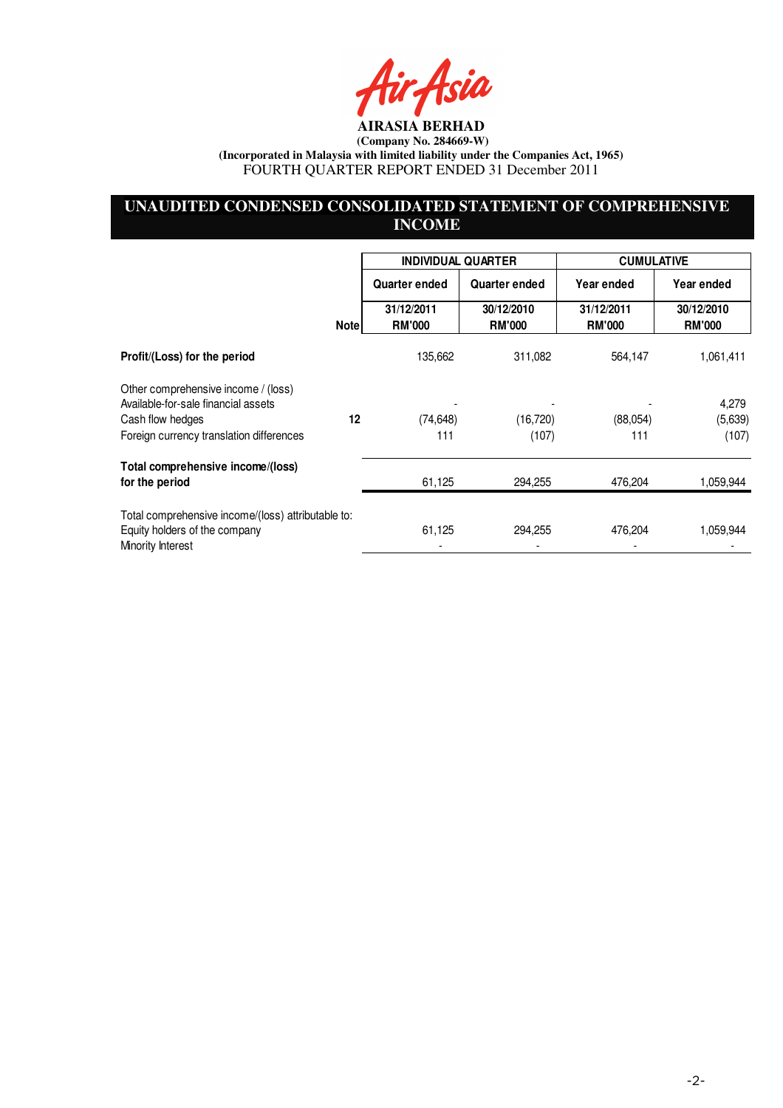fir Asia

# **UNAUDITED CONDENSED CONSOLIDATED STATEMENT OF COMPREHENSIVE INCOME**

|                                                                                                          |      | <b>INDIVIDUAL QUARTER</b>   |                             | <b>CUMULATIVE</b>           |                             |
|----------------------------------------------------------------------------------------------------------|------|-----------------------------|-----------------------------|-----------------------------|-----------------------------|
|                                                                                                          |      | <b>Quarter ended</b>        | Quarter ended               | Year ended                  | Year ended                  |
|                                                                                                          | Note | 31/12/2011<br><b>RM'000</b> | 30/12/2010<br><b>RM'000</b> | 31/12/2011<br><b>RM'000</b> | 30/12/2010<br><b>RM'000</b> |
| Profit/(Loss) for the period                                                                             |      | 135,662                     | 311,082                     | 564,147                     | 1,061,411                   |
| Other comprehensive income / (loss)<br>Available-for-sale financial assets                               |      |                             |                             |                             |                             |
| Cash flow hedges                                                                                         | 12   | (74, 648)                   | (16, 720)                   | (88,054)                    | 4,279<br>(5,639)            |
| Foreign currency translation differences                                                                 |      | 111                         | (107)                       | 111                         | (107)                       |
| Total comprehensive income/(loss)                                                                        |      |                             |                             |                             |                             |
| for the period                                                                                           |      | 61,125                      | 294,255                     | 476,204                     | 1,059,944                   |
| Total comprehensive income/(loss) attributable to:<br>Equity holders of the company<br>Minority Interest |      | 61,125                      | 294,255                     | 476,204                     | 1,059,944                   |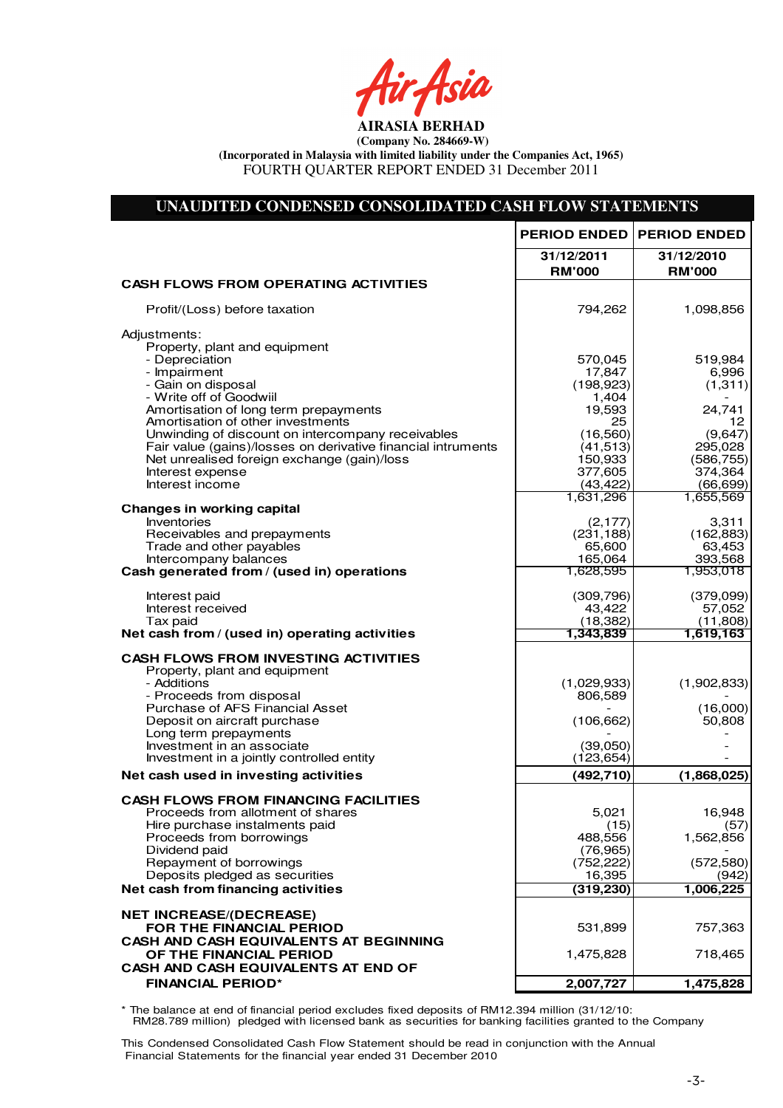fir<sub>t</sub>fsia

# **UNAUDITED CONDENSED CONSOLIDATED CASH FLOW STATEMENTS**

|                                                                                  | <b>PERIOD ENDED</b>     | <b>PERIOD ENDED</b>   |
|----------------------------------------------------------------------------------|-------------------------|-----------------------|
|                                                                                  | 31/12/2011              | 31/12/2010            |
|                                                                                  | <b>RM'000</b>           | <b>RM'000</b>         |
| <b>CASH FLOWS FROM OPERATING ACTIVITIES</b>                                      |                         |                       |
| Profit/(Loss) before taxation                                                    | 794,262                 | 1,098,856             |
| Adjustments:                                                                     |                         |                       |
| Property, plant and equipment<br>- Depreciation                                  | 570,045                 | 519,984               |
| - Impairment                                                                     | 17,847                  | 6,996                 |
| - Gain on disposal                                                               | (198, 923)              | (1,311)               |
| - Write off of Goodwiil                                                          | 1,404                   |                       |
| Amortisation of long term prepayments<br>Amortisation of other investments       | 19,593<br>25            | 24,741<br>12          |
| Unwinding of discount on intercompany receivables                                | (16, 560)               | (9,647)               |
| Fair value (gains)/losses on derivative financial intruments                     | (41, 513)               | 295,028               |
| Net unrealised foreign exchange (gain)/loss<br>Interest expense                  | 150,933<br>377,605      | (586, 755)<br>374,364 |
| Interest income                                                                  | (43, 422)               | (66, 699)             |
|                                                                                  | 1,631,296               | 1,655,569             |
| <b>Changes in working capital</b><br>Inventories                                 | (2, 177)                | 3,311                 |
| Receivables and prepayments                                                      | (231, 188)              | (162, 883)            |
| Trade and other payables                                                         | 65,600                  | 63,453                |
| Intercompany balances<br>Cash generated from / (used in) operations              | 165,064<br>1,628,595    | 393,568<br>1,953,018  |
|                                                                                  |                         |                       |
| Interest paid<br>Interest received                                               | (309, 796)              | (379,099)             |
| Tax paid                                                                         | 43,422<br>(18, 382)     | 57,052<br>(11,808)    |
| Net cash from / (used in) operating activities                                   | 1,343,839               | 1,619,163             |
| <b>CASH FLOWS FROM INVESTING ACTIVITIES</b>                                      |                         |                       |
| Property, plant and equipment                                                    |                         |                       |
| - Additions<br>- Proceeds from disposal                                          | (1,029,933)<br>806,589  | (1,902,833)           |
| Purchase of AFS Financial Asset                                                  |                         | (16,000)              |
| Deposit on aircraft purchase                                                     | (106, 662)              | 50,808                |
| Long term prepayments<br>Investment in an associate                              | (39,050)                |                       |
| Investment in a jointly controlled entity                                        | (123, 654)              |                       |
| Net cash used in investing activities                                            | (492,710)               | (1,868,025)           |
|                                                                                  |                         |                       |
| <b>CASH FLOWS FROM FINANCING FACILITIES</b><br>Proceeds from allotment of shares | 5,021                   | 16,948                |
| Hire purchase instalments paid                                                   | (15)                    | (57)                  |
| Proceeds from borrowings                                                         | 488,556                 | 1,562,856             |
| Dividend paid<br>Repayment of borrowings                                         | (76, 965)<br>(752, 222) | (572, 580)            |
| Deposits pledged as securities                                                   | 16,395                  | (942)                 |
| Net cash from financing activities                                               | (319, 230)              | 1,006,225             |
| <b>NET INCREASE/(DECREASE)</b>                                                   |                         |                       |
| FOR THE FINANCIAL PERIOD                                                         | 531,899                 | 757,363               |
| <b>CASH AND CASH EQUIVALENTS AT BEGINNING</b>                                    |                         |                       |
| OF THE FINANCIAL PERIOD                                                          | 1,475,828               | 718,465               |
| CASH AND CASH EQUIVALENTS AT END OF                                              |                         |                       |
| <b>FINANCIAL PERIOD*</b>                                                         | 2,007,727               | 1,475,828             |

\* The balance at end of financial period excludes fixed deposits of RM12.394 million (31/12/10: RM28.789 million) pledged with licensed bank as securities for banking facilities granted to the Company

This Condensed Consolidated Cash Flow Statement should be read in conjunction with the Annual Financial Statements for the financial year ended 31 December 2010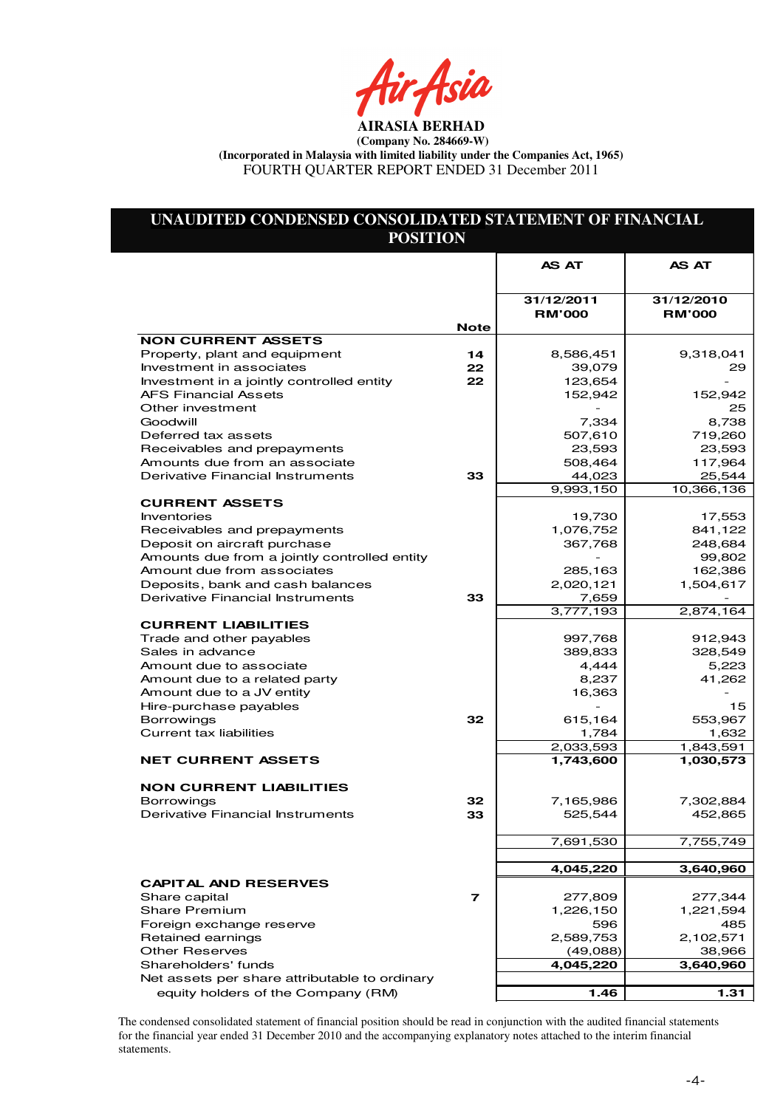rAsia

# **UNAUDITED CONDENSED CONSOLIDATED STATEMENT OF FINANCIAL POSITION**

|                                                                   |                         | AS AT                       | AS AT                       |
|-------------------------------------------------------------------|-------------------------|-----------------------------|-----------------------------|
|                                                                   |                         |                             |                             |
|                                                                   |                         | 31/12/2011<br><b>RM'000</b> | 31/12/2010<br><b>RM'000</b> |
|                                                                   | <b>Note</b>             |                             |                             |
| <b>NON CURRENT ASSETS</b>                                         |                         |                             |                             |
| Property, plant and equipment                                     | 14                      | 8,586,451                   | 9,318,041                   |
| Investment in associates                                          | 22                      | 39,079                      | 29                          |
| Investment in a jointly controlled entity                         | 22                      | 123,654                     |                             |
| <b>AFS Financial Assets</b>                                       |                         | 152,942                     | 152,942                     |
| Other investment<br>Goodwill                                      |                         |                             | 25                          |
|                                                                   |                         | 7,334                       | 8,738                       |
| Deferred tax assets                                               |                         | 507,610                     | 719,260                     |
| Receivables and prepayments                                       |                         | 23,593                      | 23,593                      |
| Amounts due from an associate<br>Derivative Financial Instruments |                         | 508,464                     | 117,964                     |
|                                                                   | 33                      | 44,023                      | 25,544<br>10,366,136        |
| <b>CURRENT ASSETS</b>                                             |                         | 9,993,150                   |                             |
| Inventories                                                       |                         | 19,730                      | 17,553                      |
| Receivables and prepayments                                       |                         | 1,076,752                   | 841,122                     |
| Deposit on aircraft purchase                                      |                         | 367,768                     | 248,684                     |
| Amounts due from a jointly controlled entity                      |                         |                             | 99,802                      |
| Amount due from associates                                        |                         | 285,163                     | 162,386                     |
| Deposits, bank and cash balances                                  |                         | 2,020,121                   | 1,504,617                   |
| Derivative Financial Instruments                                  | 33                      | 7,659                       |                             |
|                                                                   |                         | 3,777,193                   | 2,874,164                   |
| <b>CURRENT LIABILITIES</b>                                        |                         |                             |                             |
| Trade and other payables                                          |                         | 997,768                     | 912,943                     |
| Sales in advance                                                  |                         | 389,833                     | 328,549                     |
| Amount due to associate                                           |                         | 4,444                       | 5,223                       |
| Amount due to a related party                                     |                         | 8,237                       | 41,262                      |
| Amount due to a JV entity                                         |                         | 16,363                      |                             |
| Hire-purchase payables                                            |                         |                             | 15                          |
| <b>Borrowings</b>                                                 | 32                      | 615,164                     | 553,967                     |
| Current tax liabilities                                           |                         | 1,784                       | 1,632                       |
|                                                                   |                         | 2,033,593                   | 1,843,591                   |
| <b>NET CURRENT ASSETS</b>                                         |                         | 1,743,600                   | 1,030,573                   |
|                                                                   |                         |                             |                             |
| <b>NON CURRENT LIABILITIES</b>                                    |                         |                             |                             |
| <b>Borrowings</b>                                                 | 32                      | 7,165,986                   | 7,302,884                   |
| Derivative Financial Instruments                                  | 33                      | 525,544                     | 452,865                     |
|                                                                   |                         |                             |                             |
|                                                                   |                         | 7,691,530                   | 7,755,749                   |
|                                                                   |                         |                             |                             |
|                                                                   |                         | 4,045,220                   | 3,640,960                   |
| <b>CAPITAL AND RESERVES</b>                                       |                         |                             |                             |
| Share capital                                                     | $\overline{\mathbf{z}}$ | 277,809                     | 277,344                     |
| <b>Share Premium</b>                                              |                         | 1,226,150                   | 1,221,594                   |
| Foreign exchange reserve                                          |                         | 596                         | 485                         |
| Retained earnings                                                 |                         | 2,589,753                   | 2,102,571                   |
| <b>Other Reserves</b>                                             |                         | (49,088)                    | 38,966                      |
| Shareholders' funds                                               |                         | 4,045,220                   | 3,640,960                   |
| Net assets per share attributable to ordinary                     |                         |                             |                             |
| equity holders of the Company (RM)                                |                         | 1.46                        | 1.31                        |

The condensed consolidated statement of financial position should be read in conjunction with the audited financial statements for the financial year ended 31 December 2010 and the accompanying explanatory notes attached to the interim financial statements.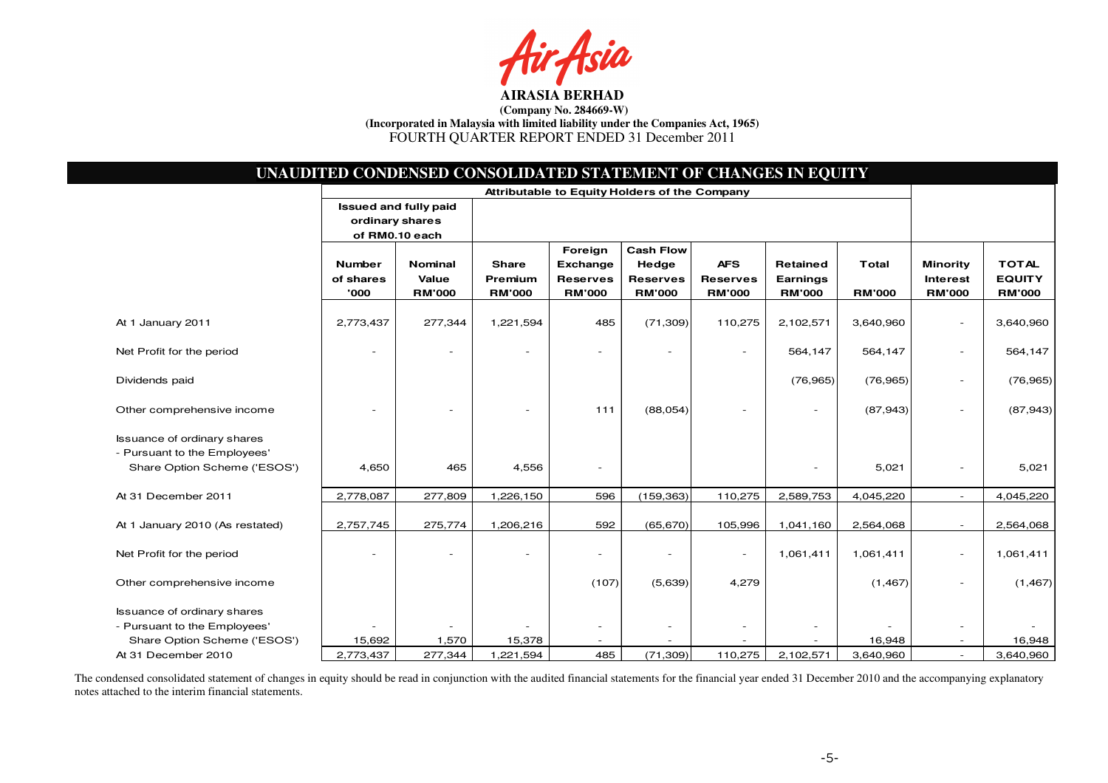

|                                                                                                    | UNAUDITED CONDENSED CONSOLIDATED STATEMENT OF CHANGES IN EQUITY<br>Attributable to Equity Holders of the Company |                                          |                                          |                                                         |                                                               |                                                |                                              |                               |                                                     |                                                |
|----------------------------------------------------------------------------------------------------|------------------------------------------------------------------------------------------------------------------|------------------------------------------|------------------------------------------|---------------------------------------------------------|---------------------------------------------------------------|------------------------------------------------|----------------------------------------------|-------------------------------|-----------------------------------------------------|------------------------------------------------|
|                                                                                                    | <b>Issued and fully paid</b><br>ordinary shares<br>of RM0.10 each                                                |                                          |                                          |                                                         |                                                               |                                                |                                              |                               |                                                     |                                                |
|                                                                                                    | <b>Number</b><br>of shares<br>'000                                                                               | <b>Nominal</b><br>Value<br><b>RM'000</b> | <b>Share</b><br>Premium<br><b>RM'000</b> | Foreign<br>Exchange<br><b>Reserves</b><br><b>RM'000</b> | <b>Cash Flow</b><br>Hedge<br><b>Reserves</b><br><b>RM'000</b> | <b>AFS</b><br><b>Reserves</b><br><b>RM'000</b> | <b>Retained</b><br>Earnings<br><b>RM'000</b> | <b>Total</b><br><b>RM'000</b> | <b>Minority</b><br><b>Interest</b><br><b>RM'000</b> | <b>TOTAL</b><br><b>EQUITY</b><br><b>RM'000</b> |
| At 1 January 2011                                                                                  | 2,773,437                                                                                                        | 277,344                                  | 1,221,594                                | 485                                                     | (71, 309)                                                     | 110,275                                        | 2,102,571                                    | 3,640,960                     | $\sim$                                              | 3,640,960                                      |
| Net Profit for the period                                                                          |                                                                                                                  |                                          |                                          |                                                         |                                                               |                                                | 564,147                                      | 564,147                       | $\sim$                                              | 564,147                                        |
| Dividends paid                                                                                     |                                                                                                                  |                                          |                                          |                                                         |                                                               |                                                | (76, 965)                                    | (76, 965)                     |                                                     | (76, 965)                                      |
| Other comprehensive income                                                                         |                                                                                                                  |                                          |                                          | 111                                                     | (88,054)                                                      |                                                | $\overline{\phantom{a}}$                     | (87, 943)                     | $\sim$                                              | (87, 943)                                      |
| <b>Issuance of ordinary shares</b><br>- Pursuant to the Employees'<br>Share Option Scheme ('ESOS') | 4,650                                                                                                            | 465                                      | 4,556                                    |                                                         |                                                               |                                                |                                              | 5,021                         |                                                     | 5,021                                          |
| At 31 December 2011                                                                                | 2,778,087                                                                                                        | 277,809                                  | 1,226,150                                | 596                                                     | (159, 363)                                                    | 110,275                                        | 2,589,753                                    | 4,045,220                     |                                                     | 4,045,220                                      |
| At 1 January 2010 (As restated)                                                                    | 2,757,745                                                                                                        | 275,774                                  | 1,206,216                                | 592                                                     | (65, 670)                                                     | 105,996                                        | 1,041,160                                    | 2,564,068                     |                                                     | 2,564,068                                      |
| Net Profit for the period                                                                          |                                                                                                                  |                                          |                                          |                                                         | $\overline{\phantom{a}}$                                      | $\sim$                                         | 1,061,411                                    | 1,061,411                     | $\sim$                                              | 1,061,411                                      |
| Other comprehensive income                                                                         |                                                                                                                  |                                          |                                          | (107)                                                   | (5,639)                                                       | 4,279                                          |                                              | (1, 467)                      |                                                     | (1, 467)                                       |
| <b>Issuance of ordinary shares</b><br>- Pursuant to the Employees'                                 |                                                                                                                  |                                          |                                          |                                                         | $\overline{\phantom{a}}$                                      |                                                |                                              |                               | $\overline{\phantom{a}}$                            |                                                |
| Share Option Scheme ('ESOS')                                                                       | 15,692                                                                                                           | 1,570                                    | 15,378                                   |                                                         |                                                               |                                                |                                              | 16,948                        |                                                     | 16,948                                         |
| At 31 December 2010                                                                                | 2,773,437                                                                                                        | 277,344                                  | 1,221,594                                | 485                                                     | (71, 309)                                                     | 110,275                                        | 2,102,571                                    | 3,640,960                     |                                                     | 3,640,960                                      |

The condensed consolidated statement of changes in equity should be read in conjunction with the audited financial statements for the financial year ended 31 December 2010 and the accompanying explanatory notes attached to the interim financial statements.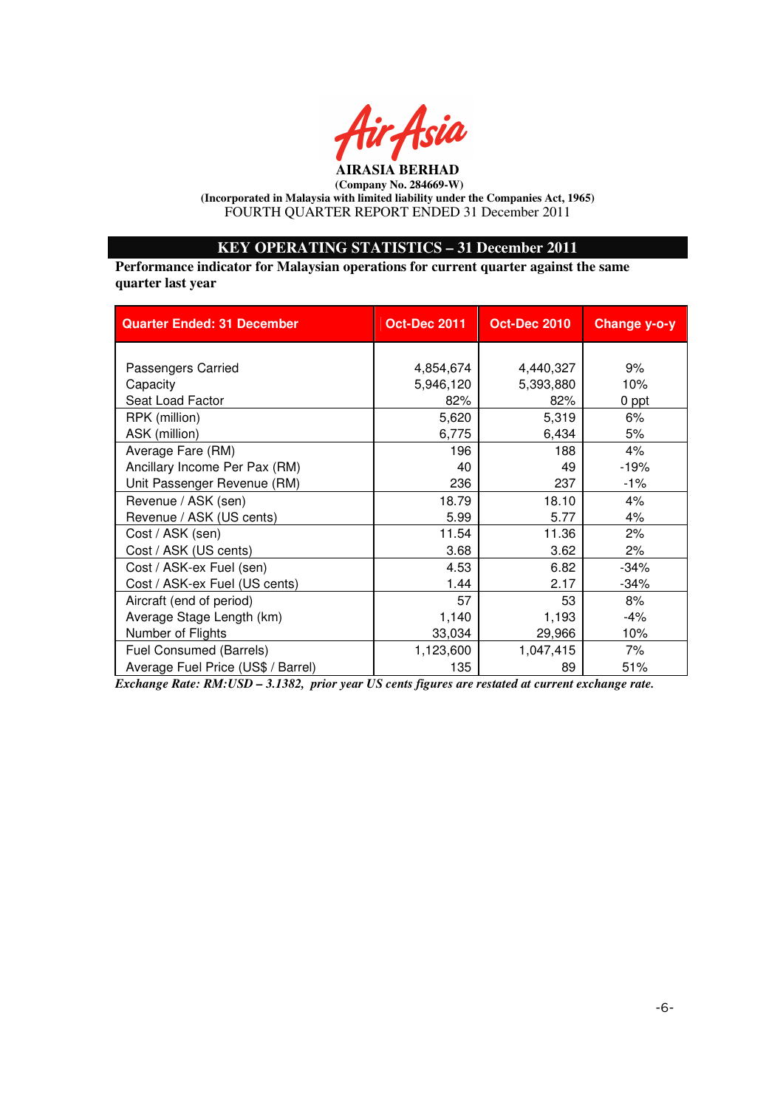

# **KEY OPERATING STATISTICS – 31 December 2011**

**Performance indicator for Malaysian operations for current quarter against the same quarter last year** 

| <b>Quarter Ended: 31 December</b>  | <b>Oct-Dec 2011</b> | <b>Oct-Dec 2010</b> | Change y-o-y |
|------------------------------------|---------------------|---------------------|--------------|
|                                    |                     |                     |              |
| Passengers Carried                 | 4,854,674           | 4,440,327           | 9%           |
| Capacity                           | 5,946,120           | 5,393,880           | 10%          |
| Seat Load Factor                   | 82%                 | 82%                 | 0 ppt        |
| RPK (million)                      | 5,620               | 5,319               | 6%           |
| ASK (million)                      | 6,775               | 6,434               | 5%           |
| Average Fare (RM)                  | 196                 | 188                 | 4%           |
| Ancillary Income Per Pax (RM)      | 40                  | 49                  | $-19%$       |
| Unit Passenger Revenue (RM)        | 236                 | 237                 | $-1%$        |
| Revenue / ASK (sen)                | 18.79               | 18.10               | 4%           |
| Revenue / ASK (US cents)           | 5.99                | 5.77                | 4%           |
| Cost / ASK (sen)                   | 11.54               | 11.36               | 2%           |
| Cost / ASK (US cents)              | 3.68                | 3.62                | 2%           |
| Cost / ASK-ex Fuel (sen)           | 4.53                | 6.82                | $-34%$       |
| Cost / ASK-ex Fuel (US cents)      | 1.44                | 2.17                | $-34%$       |
| Aircraft (end of period)           | 57                  | 53                  | 8%           |
| Average Stage Length (km)          | 1,140               | 1,193               | -4%          |
| Number of Flights                  | 33,034              | 29,966              | 10%          |
| Fuel Consumed (Barrels)            | 1,123,600           | 1,047,415           | 7%           |
| Average Fuel Price (US\$ / Barrel) | 135                 | 89                  | 51%          |

*Exchange Rate: RM:USD – 3.1382, prior year US cents figures are restated at current exchange rate.*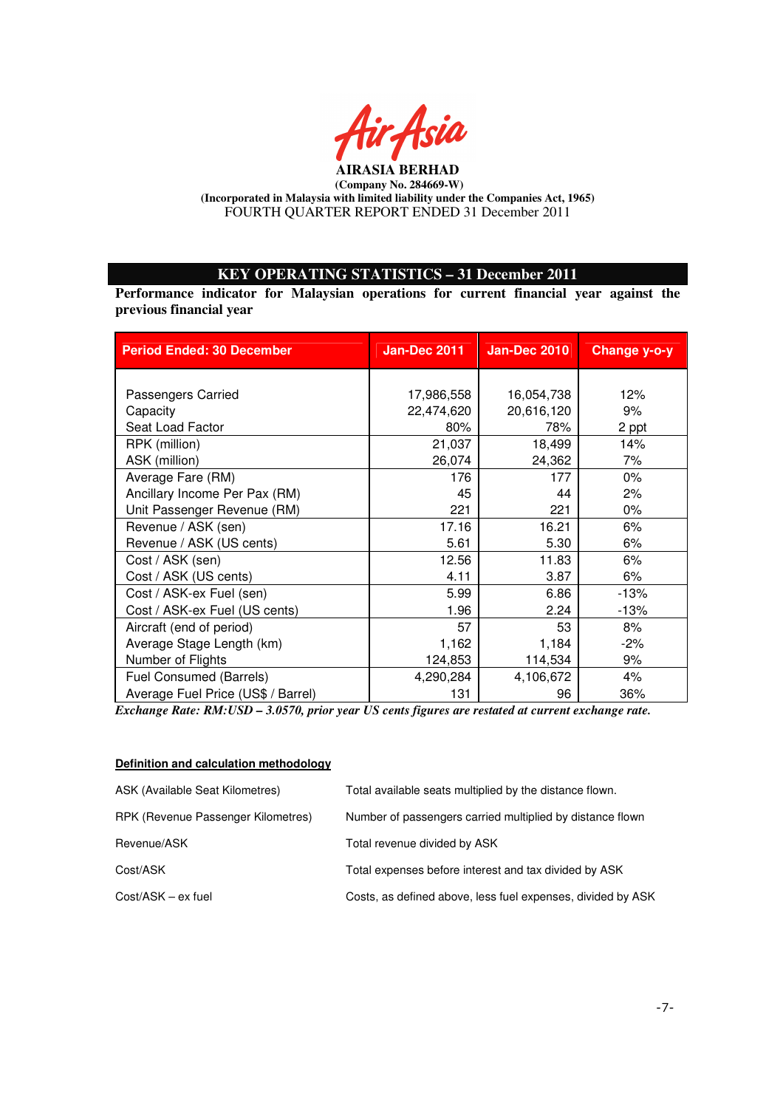

# **KEY OPERATING STATISTICS – 31 December 2011**

**Performance indicator for Malaysian operations for current financial year against the previous financial year** 

| <b>Period Ended: 30 December</b>   | <b>Jan-Dec 2011</b> | <b>Jan-Dec 2010</b> | Change y-o-y |
|------------------------------------|---------------------|---------------------|--------------|
|                                    |                     |                     |              |
| Passengers Carried                 | 17,986,558          | 16,054,738          | 12%          |
| Capacity                           | 22,474,620          | 20,616,120          | 9%           |
| Seat Load Factor                   | 80%                 | 78%                 | 2 ppt        |
| RPK (million)                      | 21,037              | 18,499              | 14%          |
| ASK (million)                      | 26,074              | 24,362              | 7%           |
| Average Fare (RM)                  | 176                 | 177                 | $0\%$        |
| Ancillary Income Per Pax (RM)      | 45                  | 44                  | 2%           |
| Unit Passenger Revenue (RM)        | 221                 | 221                 | $0\%$        |
| Revenue / ASK (sen)                | 17.16               | 16.21               | 6%           |
| Revenue / ASK (US cents)           | 5.61                | 5.30                | 6%           |
| Cost / ASK (sen)                   | 12.56               | 11.83               | 6%           |
| Cost / ASK (US cents)              | 4.11                | 3.87                | 6%           |
| Cost / ASK-ex Fuel (sen)           | 5.99                | 6.86                | $-13%$       |
| Cost / ASK-ex Fuel (US cents)      | 1.96                | 2.24                | $-13%$       |
| Aircraft (end of period)           | 57                  | 53                  | 8%           |
| Average Stage Length (km)          | 1,162               | 1,184               | $-2%$        |
| Number of Flights                  | 124,853             | 114,534             | 9%           |
| Fuel Consumed (Barrels)            | 4,290,284           | 4,106,672           | 4%           |
| Average Fuel Price (US\$ / Barrel) | 131                 | 96                  | 36%          |

*Exchange Rate: RM:USD – 3.0570, prior year US cents figures are restated at current exchange rate.* 

#### **Definition and calculation methodology**

| ASK (Available Seat Kilometres)    | Total available seats multiplied by the distance flown.     |
|------------------------------------|-------------------------------------------------------------|
| RPK (Revenue Passenger Kilometres) | Number of passengers carried multiplied by distance flown   |
| Revenue/ASK                        | Total revenue divided by ASK                                |
| Cost/ASK                           | Total expenses before interest and tax divided by ASK       |
| $Cost/ASK - ex fuel$               | Costs, as defined above, less fuel expenses, divided by ASK |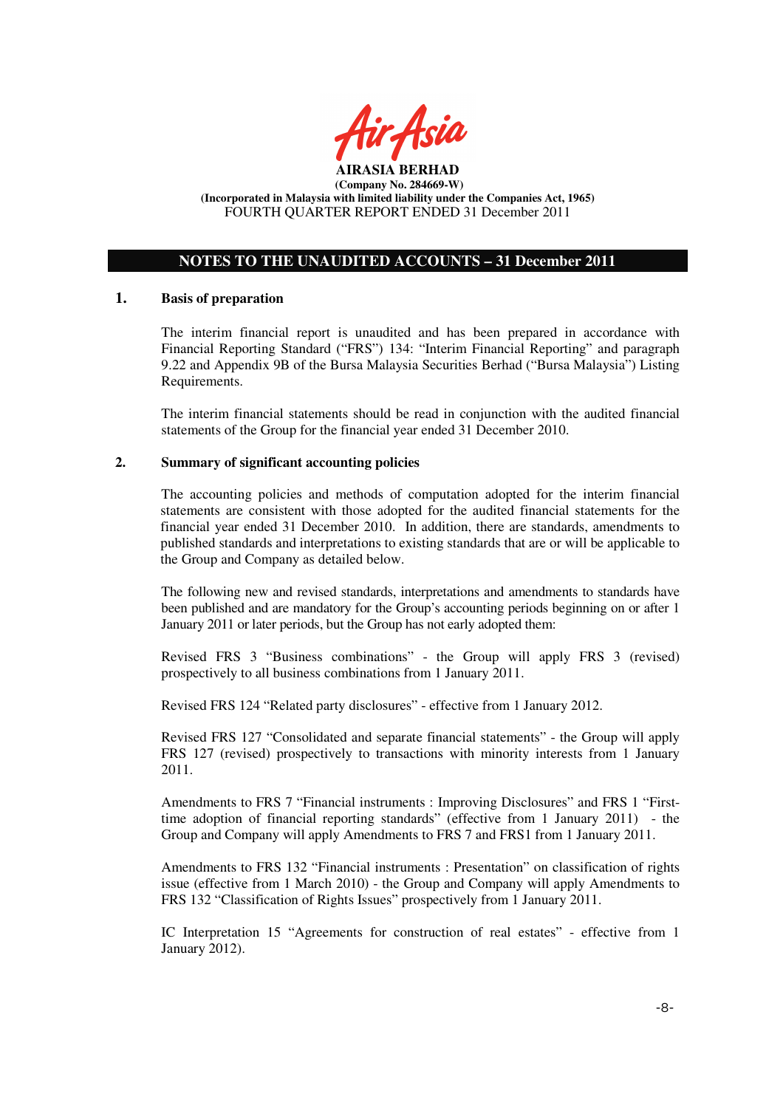

# **NOTES TO THE UNAUDITED ACCOUNTS – 31 December 2011**

#### **1. Basis of preparation**

The interim financial report is unaudited and has been prepared in accordance with Financial Reporting Standard ("FRS") 134: "Interim Financial Reporting" and paragraph 9.22 and Appendix 9B of the Bursa Malaysia Securities Berhad ("Bursa Malaysia") Listing Requirements.

The interim financial statements should be read in conjunction with the audited financial statements of the Group for the financial year ended 31 December 2010.

#### **2. Summary of significant accounting policies**

The accounting policies and methods of computation adopted for the interim financial statements are consistent with those adopted for the audited financial statements for the financial year ended 31 December 2010. In addition, there are standards, amendments to published standards and interpretations to existing standards that are or will be applicable to the Group and Company as detailed below.

The following new and revised standards, interpretations and amendments to standards have been published and are mandatory for the Group's accounting periods beginning on or after 1 January 2011 or later periods, but the Group has not early adopted them:

Revised FRS 3 "Business combinations" - the Group will apply FRS 3 (revised) prospectively to all business combinations from 1 January 2011.

Revised FRS 124 "Related party disclosures" - effective from 1 January 2012.

Revised FRS 127 "Consolidated and separate financial statements" - the Group will apply FRS 127 (revised) prospectively to transactions with minority interests from 1 January 2011.

Amendments to FRS 7 "Financial instruments : Improving Disclosures" and FRS 1 "Firsttime adoption of financial reporting standards" (effective from 1 January 2011) - the Group and Company will apply Amendments to FRS 7 and FRS1 from 1 January 2011.

Amendments to FRS 132 "Financial instruments : Presentation" on classification of rights issue (effective from 1 March 2010) - the Group and Company will apply Amendments to FRS 132 "Classification of Rights Issues" prospectively from 1 January 2011.

IC Interpretation 15 "Agreements for construction of real estates" - effective from 1 January 2012).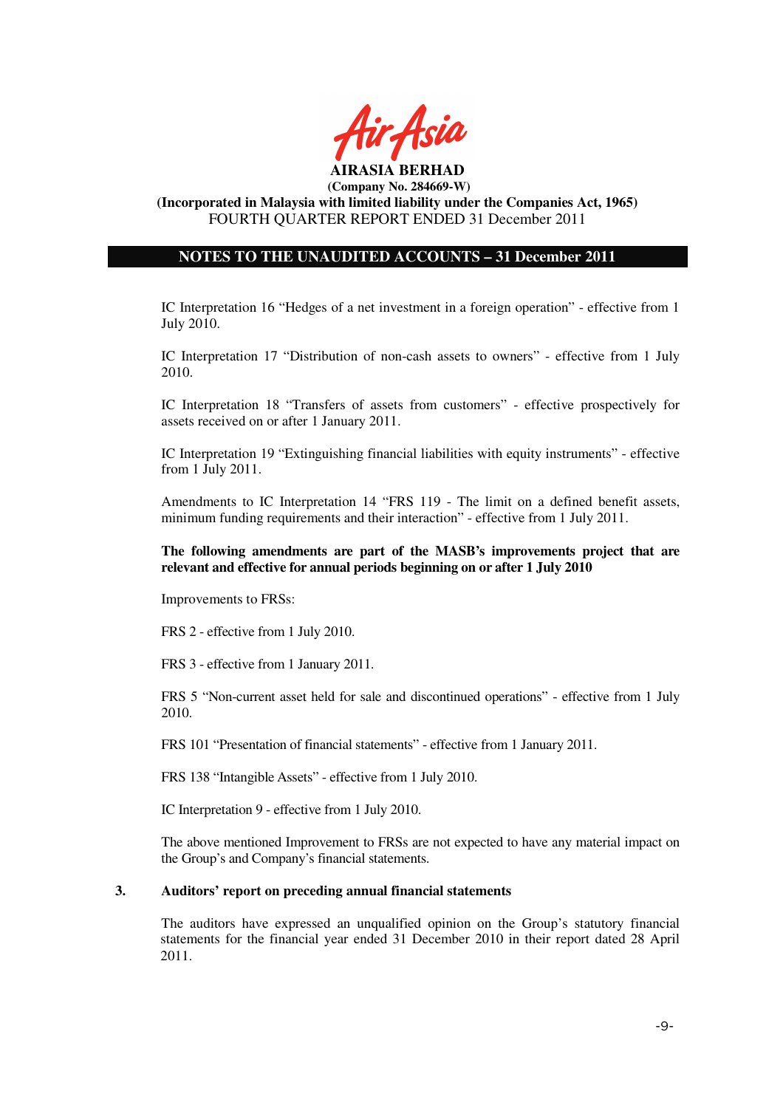

**(Incorporated in Malaysia with limited liability under the Companies Act, 1965)**  FOURTH QUARTER REPORT ENDED 31 December 2011

# **NOTES TO THE UNAUDITED ACCOUNTS – 31 December 2011**

IC Interpretation 16 "Hedges of a net investment in a foreign operation" - effective from 1 July 2010.

IC Interpretation 17 "Distribution of non-cash assets to owners" - effective from 1 July 2010.

IC Interpretation 18 "Transfers of assets from customers" - effective prospectively for assets received on or after 1 January 2011.

IC Interpretation 19 "Extinguishing financial liabilities with equity instruments" - effective from 1 July 2011.

Amendments to IC Interpretation 14 "FRS 119 - The limit on a defined benefit assets, minimum funding requirements and their interaction" - effective from 1 July 2011.

**The following amendments are part of the MASB's improvements project that are relevant and effective for annual periods beginning on or after 1 July 2010** 

Improvements to FRSs:

FRS 2 - effective from 1 July 2010.

FRS 3 - effective from 1 January 2011.

FRS 5 "Non-current asset held for sale and discontinued operations" - effective from 1 July 2010.

FRS 101 "Presentation of financial statements" - effective from 1 January 2011.

FRS 138 "Intangible Assets" - effective from 1 July 2010.

IC Interpretation 9 - effective from 1 July 2010.

The above mentioned Improvement to FRSs are not expected to have any material impact on the Group's and Company's financial statements.

## **3. Auditors' report on preceding annual financial statements**

The auditors have expressed an unqualified opinion on the Group's statutory financial statements for the financial year ended 31 December 2010 in their report dated 28 April 2011.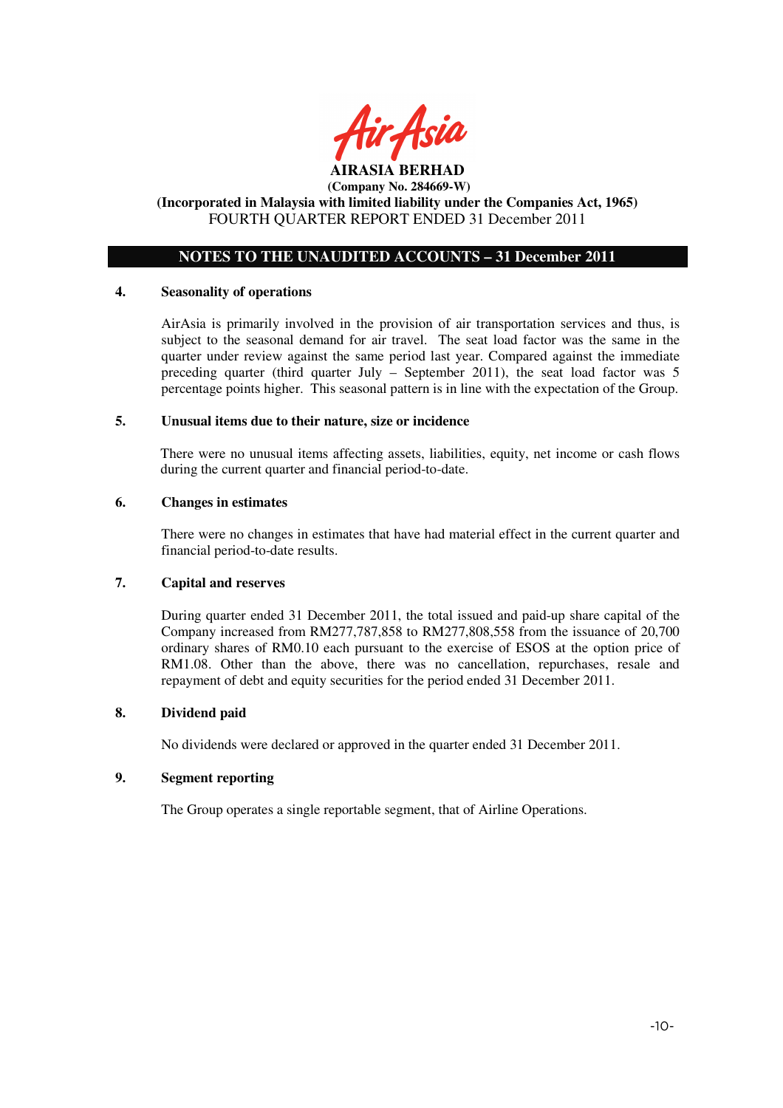

# **NOTES TO THE UNAUDITED ACCOUNTS – 31 December 2011**

#### **4. Seasonality of operations**

AirAsia is primarily involved in the provision of air transportation services and thus, is subject to the seasonal demand for air travel. The seat load factor was the same in the quarter under review against the same period last year. Compared against the immediate preceding quarter (third quarter July – September 2011), the seat load factor was 5 percentage points higher. This seasonal pattern is in line with the expectation of the Group.

#### **5. Unusual items due to their nature, size or incidence**

There were no unusual items affecting assets, liabilities, equity, net income or cash flows during the current quarter and financial period-to-date.

#### **6. Changes in estimates**

There were no changes in estimates that have had material effect in the current quarter and financial period-to-date results.

# **7. Capital and reserves**

During quarter ended 31 December 2011, the total issued and paid-up share capital of the Company increased from RM277,787,858 to RM277,808,558 from the issuance of 20,700 ordinary shares of RM0.10 each pursuant to the exercise of ESOS at the option price of RM1.08. Other than the above, there was no cancellation, repurchases, resale and repayment of debt and equity securities for the period ended 31 December 2011.

#### **8. Dividend paid**

No dividends were declared or approved in the quarter ended 31 December 2011.

## **9. Segment reporting**

The Group operates a single reportable segment, that of Airline Operations.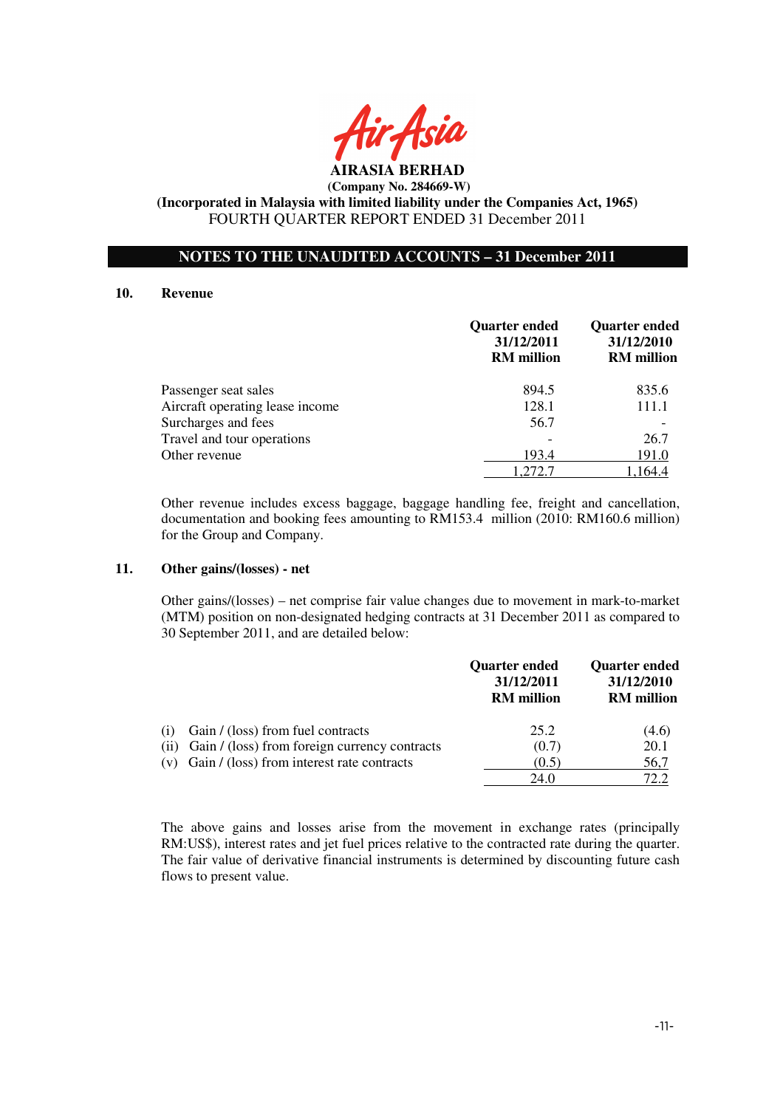

**AIRASIA BERHAD (Company No. 284669-W)** 

**(Incorporated in Malaysia with limited liability under the Companies Act, 1965)**  FOURTH QUARTER REPORT ENDED 31 December 2011

## **NOTES TO THE UNAUDITED ACCOUNTS – 31 December 2011**

#### **10. Revenue**

|                                 | <b>Quarter ended</b><br>31/12/2011<br><b>RM</b> million | <b>Quarter ended</b><br>31/12/2010<br><b>RM</b> million |
|---------------------------------|---------------------------------------------------------|---------------------------------------------------------|
| Passenger seat sales            | 894.5                                                   | 835.6                                                   |
| Aircraft operating lease income | 128.1                                                   | 111.1                                                   |
| Surcharges and fees             | 56.7                                                    |                                                         |
| Travel and tour operations      |                                                         | 26.7                                                    |
| Other revenue                   | 193.4                                                   | 191.0                                                   |
|                                 | 1.272.7                                                 | 1,164.4                                                 |

Other revenue includes excess baggage, baggage handling fee, freight and cancellation, documentation and booking fees amounting to RM153.4 million (2010: RM160.6 million) for the Group and Company.

#### **11. Other gains/(losses) - net**

 Other gains/(losses) – net comprise fair value changes due to movement in mark-to-market (MTM) position on non-designated hedging contracts at 31 December 2011 as compared to 30 September 2011, and are detailed below:

|     |                                                    | <b>Quarter ended</b><br>31/12/2011<br><b>RM</b> million | <b>Quarter ended</b><br>31/12/2010<br><b>RM</b> million |
|-----|----------------------------------------------------|---------------------------------------------------------|---------------------------------------------------------|
| (1) | Gain / (loss) from fuel contracts                  | 25.2                                                    | (4.6)                                                   |
|     | (ii) Gain / (loss) from foreign currency contracts | (0.7)                                                   | 20.1                                                    |
|     | $(v)$ Gain / (loss) from interest rate contracts   | (0.5)                                                   | 56,7                                                    |
|     |                                                    | 24.0                                                    | 72.2                                                    |

The above gains and losses arise from the movement in exchange rates (principally RM:US\$), interest rates and jet fuel prices relative to the contracted rate during the quarter. The fair value of derivative financial instruments is determined by discounting future cash flows to present value.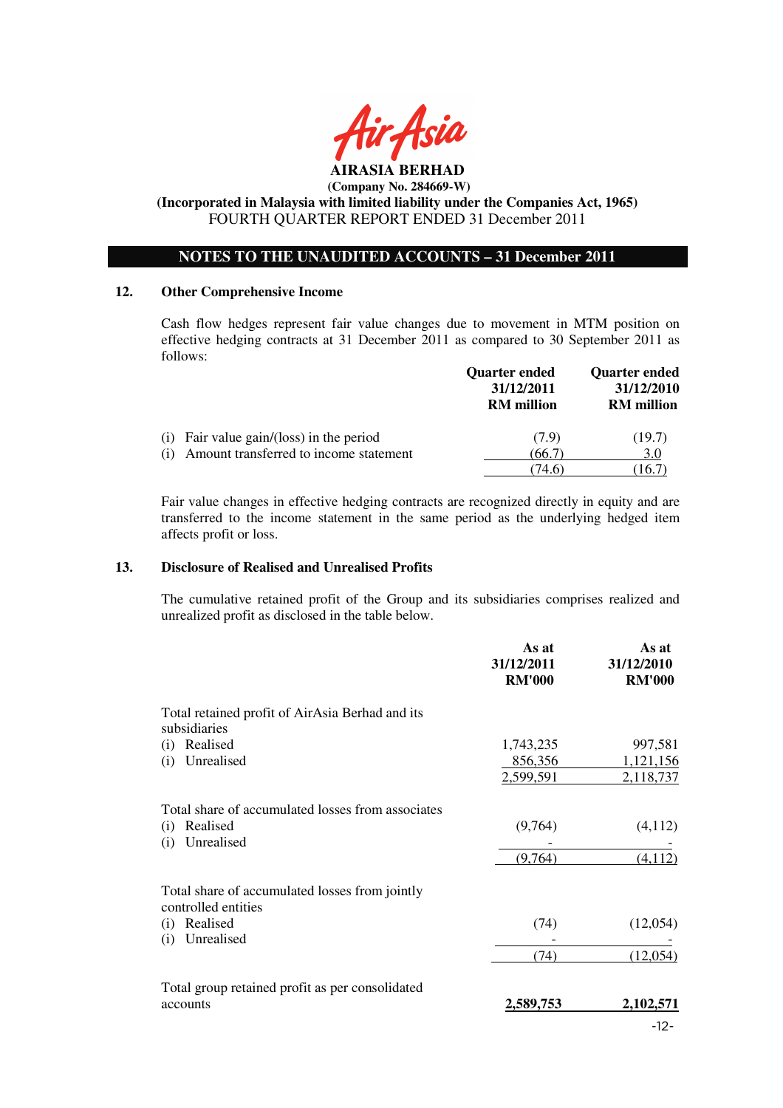

# **(Incorporated in Malaysia with limited liability under the Companies Act, 1965)**  FOURTH QUARTER REPORT ENDED 31 December 2011

# **NOTES TO THE UNAUDITED ACCOUNTS – 31 December 2011**

#### **12. Other Comprehensive Income**

Cash flow hedges represent fair value changes due to movement in MTM position on effective hedging contracts at 31 December 2011 as compared to 30 September 2011 as follows:

|                                               | <b>Quarter ended</b><br>31/12/2011<br><b>RM</b> million | <b>Quarter ended</b><br>31/12/2010<br><b>RM</b> million |
|-----------------------------------------------|---------------------------------------------------------|---------------------------------------------------------|
| Fair value gain/(loss) in the period<br>(1)   | (7.9)                                                   | (19.7)                                                  |
| Amount transferred to income statement<br>(1) | (66.7)                                                  | 3.0                                                     |
|                                               | 74.6)                                                   | 16.7                                                    |

Fair value changes in effective hedging contracts are recognized directly in equity and are transferred to the income statement in the same period as the underlying hedged item affects profit or loss.

#### **13. Disclosure of Realised and Unrealised Profits**

The cumulative retained profit of the Group and its subsidiaries comprises realized and unrealized profit as disclosed in the table below.

|                                                                       | As at<br>31/12/2011<br><b>RM'000</b> | As at<br>31/12/2010<br><b>RM'000</b> |
|-----------------------------------------------------------------------|--------------------------------------|--------------------------------------|
| Total retained profit of AirAsia Berhad and its<br>subsidiaries       |                                      |                                      |
| Realised<br>(i)                                                       | 1,743,235                            | 997,581                              |
| Unrealised<br>(i)                                                     | 856,356                              | 1,121,156                            |
|                                                                       | 2,599,591                            | 2,118,737                            |
| Total share of accumulated losses from associates                     |                                      |                                      |
| Realised<br>(i)                                                       | (9,764)                              | (4,112)                              |
| Unrealised<br>(i)                                                     |                                      |                                      |
|                                                                       | (9,764)                              | (4, 112)                             |
| Total share of accumulated losses from jointly<br>controlled entities |                                      |                                      |
| Realised<br>(i)                                                       | (74)                                 | (12,054)                             |
| Unrealised<br>(i)                                                     |                                      |                                      |
|                                                                       | (74)                                 | (12,054)                             |
| Total group retained profit as per consolidated                       |                                      |                                      |
| accounts                                                              | 2,589,753                            | 2,102,571                            |
|                                                                       |                                      | $-12-$                               |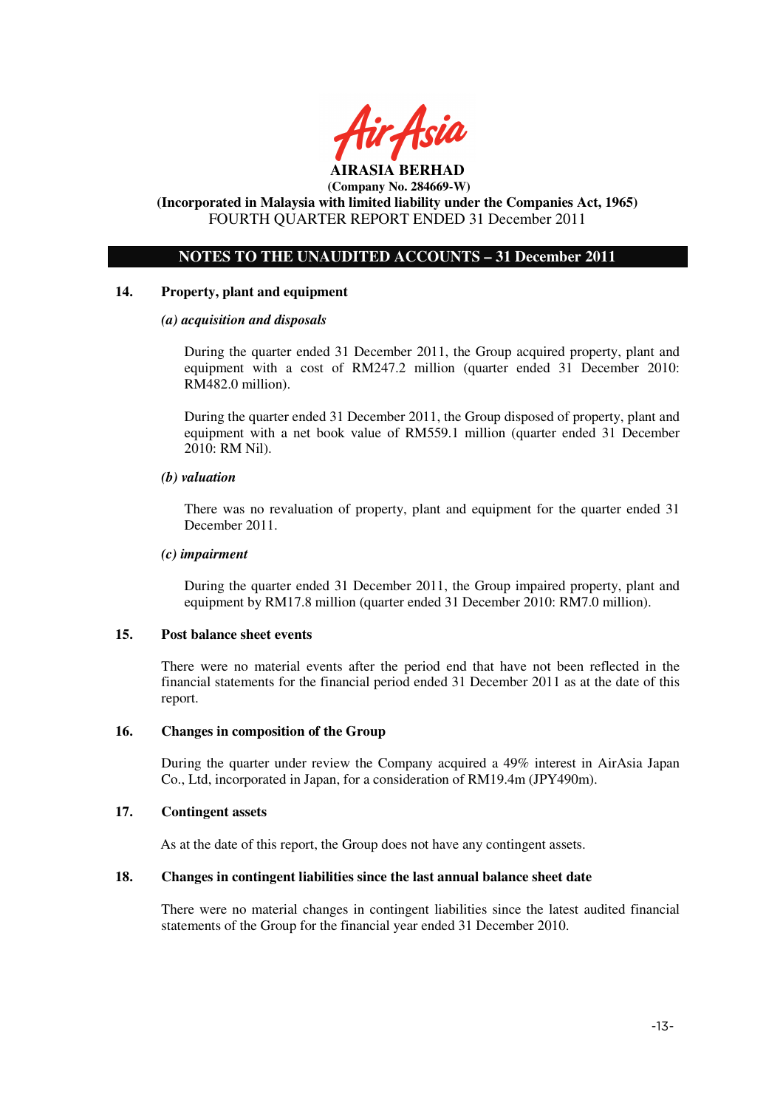

# **(Company No. 284669-W) (Incorporated in Malaysia with limited liability under the Companies Act, 1965)**

FOURTH QUARTER REPORT ENDED 31 December 2011

# **NOTES TO THE UNAUDITED ACCOUNTS – 31 December 2011**

## **14. Property, plant and equipment**

#### *(a) acquisition and disposals*

During the quarter ended 31 December 2011, the Group acquired property, plant and equipment with a cost of RM247.2 million (quarter ended 31 December 2010: RM482.0 million).

During the quarter ended 31 December 2011, the Group disposed of property, plant and equipment with a net book value of RM559.1 million (quarter ended 31 December 2010: RM Nil).

#### *(b) valuation*

 There was no revaluation of property, plant and equipment for the quarter ended 31 December 2011.

#### *(c) impairment*

During the quarter ended 31 December 2011, the Group impaired property, plant and equipment by RM17.8 million (quarter ended 31 December 2010: RM7.0 million).

#### **15. Post balance sheet events**

There were no material events after the period end that have not been reflected in the financial statements for the financial period ended 31 December 2011 as at the date of this report.

#### **16. Changes in composition of the Group**

During the quarter under review the Company acquired a 49% interest in AirAsia Japan Co., Ltd, incorporated in Japan, for a consideration of RM19.4m (JPY490m).

#### **17. Contingent assets**

As at the date of this report, the Group does not have any contingent assets.

#### **18. Changes in contingent liabilities since the last annual balance sheet date**

There were no material changes in contingent liabilities since the latest audited financial statements of the Group for the financial year ended 31 December 2010.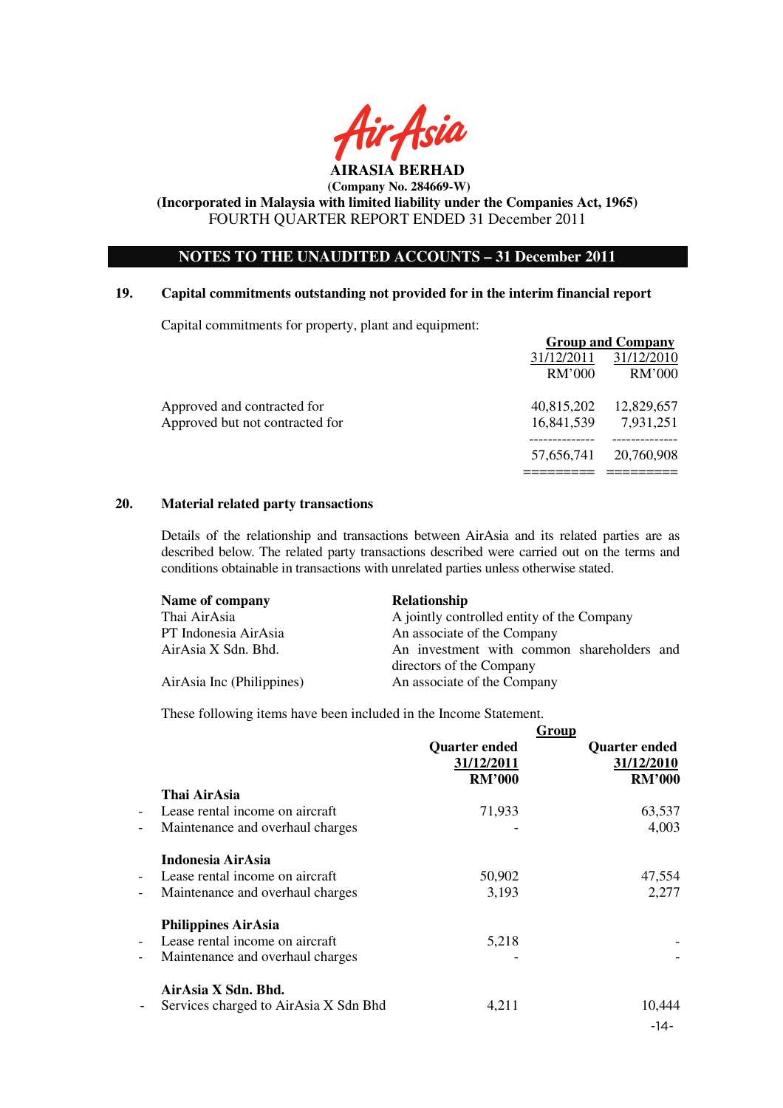

**(Incorporated in Malaysia with limited liability under the Companies Act, 1965)**  FOURTH QUARTER REPORT ENDED 31 December 2011

# **NOTES TO THE UNAUDITED ACCOUNTS – 31 December 2011**

#### **19. Capital commitments outstanding not provided for in the interim financial report**

Capital commitments for property, plant and equipment:

|                                 | <b>Group and Company</b> |               |
|---------------------------------|--------------------------|---------------|
|                                 | 31/12/2011               | 31/12/2010    |
|                                 | RM'000                   | <b>RM'000</b> |
| Approved and contracted for     | 40,815,202               | 12,829,657    |
| Approved but not contracted for | 16,841,539               | 7,931,251     |
|                                 | 57,656,741               | 20,760,908    |
|                                 |                          |               |

#### **20. Material related party transactions**

Details of the relationship and transactions between AirAsia and its related parties are as described below. The related party transactions described were carried out on the terms and conditions obtainable in transactions with unrelated parties unless otherwise stated.

| Name of company           | <b>Relationship</b>                        |
|---------------------------|--------------------------------------------|
| Thai AirAsia              | A jointly controlled entity of the Company |
| PT Indonesia AirAsia      | An associate of the Company                |
| AirAsia X Sdn. Bhd.       | An investment with common shareholders and |
|                           | directors of the Company                   |
| AirAsia Inc (Philippines) | An associate of the Company                |

These following items have been included in the Income Statement.

|                          |                                       | <b>Quarter ended</b><br>31/12/2011<br><b>RM'000</b> | Group<br><b>Quarter ended</b><br>31/12/2010<br><b>RM'000</b> |
|--------------------------|---------------------------------------|-----------------------------------------------------|--------------------------------------------------------------|
|                          | Thai AirAsia                          |                                                     |                                                              |
| $\overline{\phantom{a}}$ | Lease rental income on aircraft       | 71,933                                              | 63,537                                                       |
| $\qquad \qquad -$        | Maintenance and overhaul charges      |                                                     | 4,003                                                        |
|                          | Indonesia AirAsia                     |                                                     |                                                              |
| $\overline{\phantom{a}}$ | Lease rental income on aircraft       | 50,902                                              | 47,554                                                       |
| $\qquad \qquad -$        | Maintenance and overhaul charges      | 3,193                                               | 2,277                                                        |
|                          | <b>Philippines AirAsia</b>            |                                                     |                                                              |
| $\overline{\phantom{a}}$ | Lease rental income on aircraft       | 5,218                                               |                                                              |
| $\qquad \qquad -$        | Maintenance and overhaul charges      |                                                     |                                                              |
|                          | AirAsia X Sdn. Bhd.                   |                                                     |                                                              |
| $\overline{\phantom{a}}$ | Services charged to AirAsia X Sdn Bhd | 4,211                                               | 10,444                                                       |
|                          |                                       |                                                     | $-14-$                                                       |
|                          |                                       |                                                     |                                                              |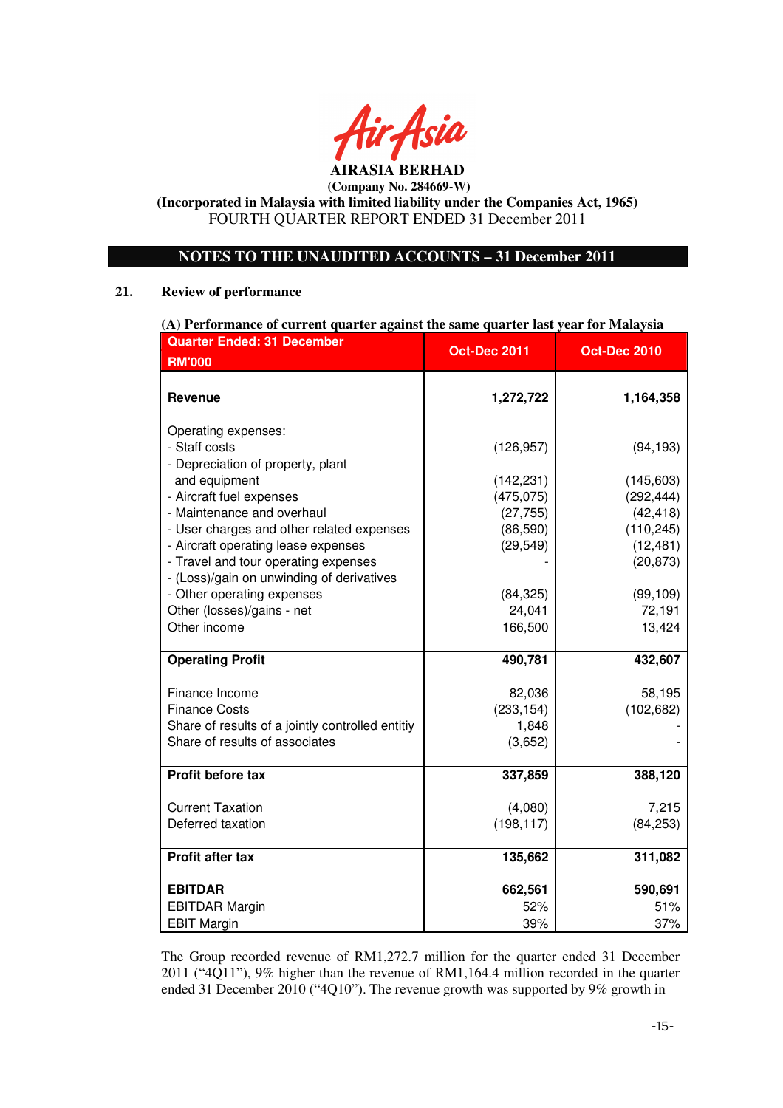

**(Incorporated in Malaysia with limited liability under the Companies Act, 1965)**  FOURTH QUARTER REPORT ENDED 31 December 2011

# **NOTES TO THE UNAUDITED ACCOUNTS – 31 December 2011**

#### **21. Review of performance**

| (A) Performance of current quarter against the same quarter last year for Malaysia                                       |                          |                         |  |
|--------------------------------------------------------------------------------------------------------------------------|--------------------------|-------------------------|--|
| <b>Quarter Ended: 31 December</b>                                                                                        | <b>Oct-Dec 2011</b>      | <b>Oct-Dec 2010</b>     |  |
| <b>RM'000</b>                                                                                                            |                          |                         |  |
| Revenue                                                                                                                  | 1,272,722                | 1,164,358               |  |
| Operating expenses:<br>- Staff costs<br>- Depreciation of property, plant<br>and equipment                               | (126, 957)<br>(142, 231) | (94, 193)<br>(145, 603) |  |
| - Aircraft fuel expenses                                                                                                 | (475, 075)               | (292, 444)              |  |
| - Maintenance and overhaul                                                                                               | (27, 755)                | (42, 418)               |  |
| - User charges and other related expenses                                                                                | (86, 590)                | (110, 245)              |  |
| - Aircraft operating lease expenses<br>- Travel and tour operating expenses<br>- (Loss)/gain on unwinding of derivatives | (29, 549)                | (12, 481)<br>(20, 873)  |  |
| - Other operating expenses                                                                                               | (84, 325)                | (99, 109)               |  |
| Other (losses)/gains - net                                                                                               | 24,041                   | 72,191                  |  |
| Other income                                                                                                             | 166,500                  | 13,424                  |  |
| <b>Operating Profit</b>                                                                                                  | 490,781                  | 432,607                 |  |
| Finance Income                                                                                                           | 82,036                   | 58,195                  |  |
| <b>Finance Costs</b>                                                                                                     | (233, 154)               | (102, 682)              |  |
| Share of results of a jointly controlled entitiy                                                                         | 1,848                    |                         |  |
| Share of results of associates                                                                                           | (3,652)                  |                         |  |
| Profit before tax                                                                                                        | 337,859                  | 388,120                 |  |
| <b>Current Taxation</b>                                                                                                  | (4,080)                  | 7,215                   |  |
| Deferred taxation                                                                                                        | (198, 117)               | (84, 253)               |  |
| Profit after tax                                                                                                         | 135,662                  | 311,082                 |  |
| <b>EBITDAR</b>                                                                                                           | 662,561                  | 590,691                 |  |
| <b>EBITDAR Margin</b>                                                                                                    | 52%                      | 51%                     |  |
| <b>EBIT Margin</b>                                                                                                       | 39%                      | 37%                     |  |

The Group recorded revenue of RM1,272.7 million for the quarter ended 31 December 2011 ("4Q11"), 9% higher than the revenue of RM1,164.4 million recorded in the quarter ended 31 December 2010 ("4Q10"). The revenue growth was supported by 9% growth in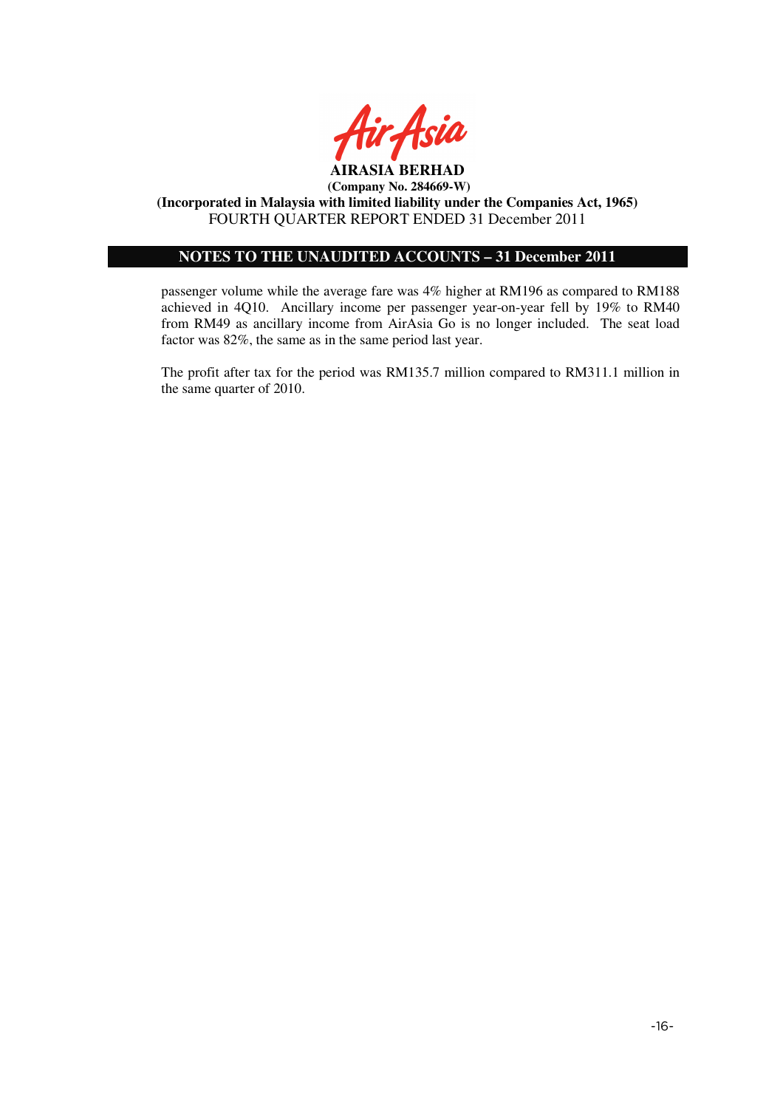

# **NOTES TO THE UNAUDITED ACCOUNTS – 31 December 2011**

passenger volume while the average fare was 4% higher at RM196 as compared to RM188 achieved in 4Q10. Ancillary income per passenger year-on-year fell by 19% to RM40 from RM49 as ancillary income from AirAsia Go is no longer included. The seat load factor was 82%, the same as in the same period last year.

The profit after tax for the period was RM135.7 million compared to RM311.1 million in the same quarter of 2010.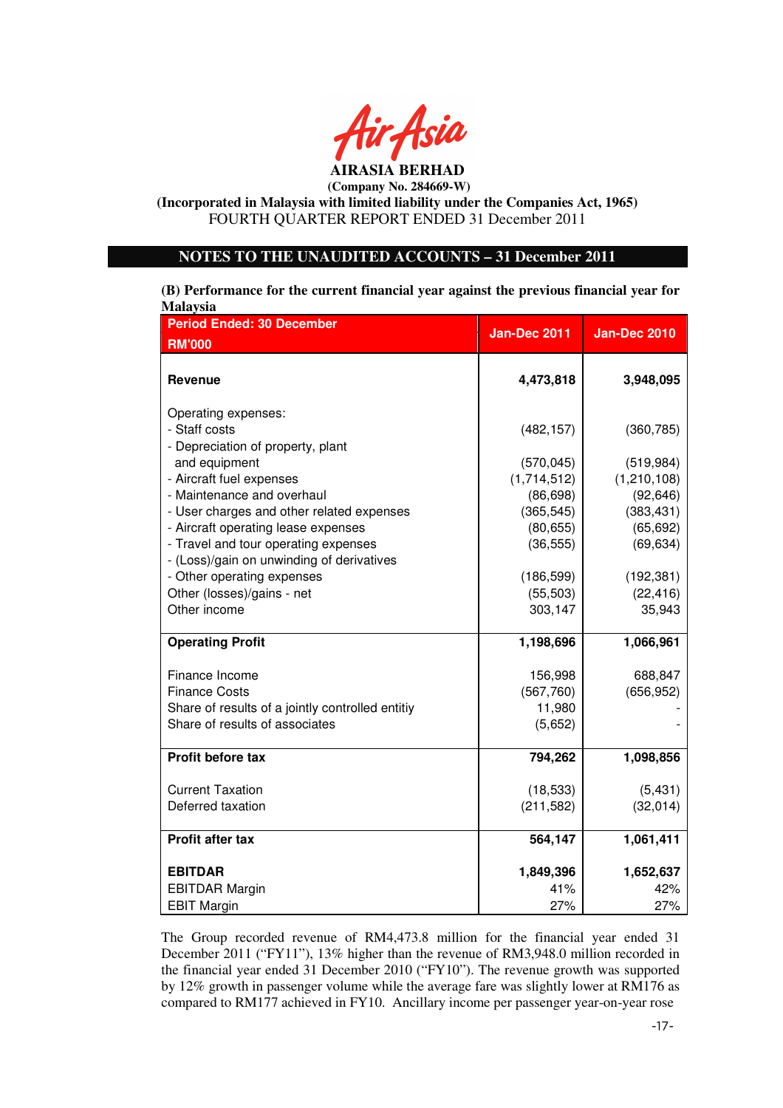

**(Incorporated in Malaysia with limited liability under the Companies Act, 1965)**  FOURTH QUARTER REPORT ENDED 31 December 2011

# **NOTES TO THE UNAUDITED ACCOUNTS – 31 December 2011**

**(B) Performance for the current financial year against the previous financial year for Malaysia**

| <b>Period Ended: 30 December</b><br><b>RM'000</b> | <b>Jan-Dec 2011</b>  | <b>Jan-Dec 2010</b> |
|---------------------------------------------------|----------------------|---------------------|
|                                                   |                      |                     |
| <b>Revenue</b>                                    | 4,473,818            | 3,948,095           |
| Operating expenses:                               |                      |                     |
| - Staff costs                                     | (482, 157)           | (360, 785)          |
| - Depreciation of property, plant                 |                      |                     |
| and equipment                                     | (570, 045)           | (519, 984)          |
| - Aircraft fuel expenses                          | (1,714,512)          | (1,210,108)         |
| - Maintenance and overhaul                        | (86, 698)            | (92, 646)           |
| - User charges and other related expenses         | (365, 545)           | (383, 431)          |
| - Aircraft operating lease expenses               | (80, 655)            | (65, 692)           |
| - Travel and tour operating expenses              | (36, 555)            | (69, 634)           |
| - (Loss)/gain on unwinding of derivatives         |                      |                     |
| - Other operating expenses                        | (186, 599)           | (192, 381)          |
| Other (losses)/gains - net<br>Other income        | (55, 503)<br>303,147 | (22, 416)<br>35,943 |
|                                                   |                      |                     |
| <b>Operating Profit</b>                           | 1,198,696            | 1,066,961           |
| Finance Income                                    | 156,998              | 688,847             |
| <b>Finance Costs</b>                              | (567,760)            | (656, 952)          |
| Share of results of a jointly controlled entitiy  | 11,980               |                     |
| Share of results of associates                    | (5,652)              |                     |
| Profit before tax                                 | 794,262              | 1,098,856           |
|                                                   |                      |                     |
| <b>Current Taxation</b>                           | (18, 533)            | (5,431)             |
| Deferred taxation                                 | (211, 582)           | (32, 014)           |
| Profit after tax                                  | 564,147              | 1,061,411           |
| <b>EBITDAR</b>                                    | 1,849,396            | 1,652,637           |
| <b>EBITDAR Margin</b>                             | 41%                  | 42%                 |
| <b>EBIT Margin</b>                                | 27%                  | 27%                 |

The Group recorded revenue of RM4,473.8 million for the financial year ended 31 December 2011 ("FY11"), 13% higher than the revenue of RM3,948.0 million recorded in the financial year ended 31 December 2010 ("FY10"). The revenue growth was supported by 12% growth in passenger volume while the average fare was slightly lower at RM176 as compared to RM177 achieved in FY10. Ancillary income per passenger year-on-year rose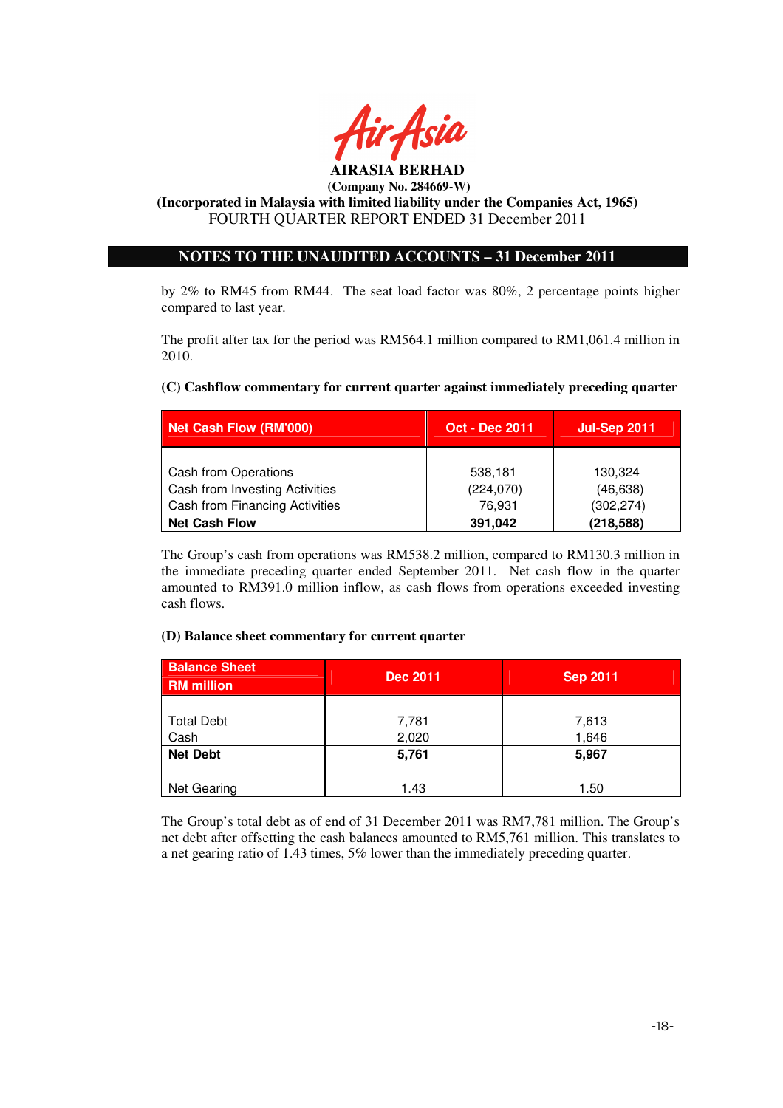

# **NOTES TO THE UNAUDITED ACCOUNTS – 31 December 2011**

by 2% to RM45 from RM44. The seat load factor was 80%, 2 percentage points higher compared to last year.

The profit after tax for the period was RM564.1 million compared to RM1,061.4 million in 2010.

# **(C) Cashflow commentary for current quarter against immediately preceding quarter**

| Net Cash Flow (RM'000)                                                                          | <b>Oct - Dec 2011</b>           | <b>Jul-Sep 2011</b>                |
|-------------------------------------------------------------------------------------------------|---------------------------------|------------------------------------|
| Cash from Operations<br>Cash from Investing Activities<br><b>Cash from Financing Activities</b> | 538,181<br>(224, 070)<br>76,931 | 130,324<br>(46, 638)<br>(302, 274) |
| <b>Net Cash Flow</b>                                                                            | 391,042                         | (218,588)                          |

The Group's cash from operations was RM538.2 million, compared to RM130.3 million in the immediate preceding quarter ended September 2011. Net cash flow in the quarter amounted to RM391.0 million inflow, as cash flows from operations exceeded investing cash flows.

## **(D) Balance sheet commentary for current quarter**

| <b>Balance Sheet</b><br><b>RM</b> million | <b>Dec 2011</b> | <b>Sep 2011</b> |
|-------------------------------------------|-----------------|-----------------|
|                                           |                 |                 |
| <b>Total Debt</b>                         | 7,781           | 7,613           |
| Cash                                      | 2,020           | 1,646           |
| <b>Net Debt</b>                           | 5,761           | 5,967           |
|                                           |                 |                 |
| Net Gearing                               | 1.43            | 1.50            |

The Group's total debt as of end of 31 December 2011 was RM7,781 million. The Group's net debt after offsetting the cash balances amounted to RM5,761 million. This translates to a net gearing ratio of 1.43 times, 5% lower than the immediately preceding quarter.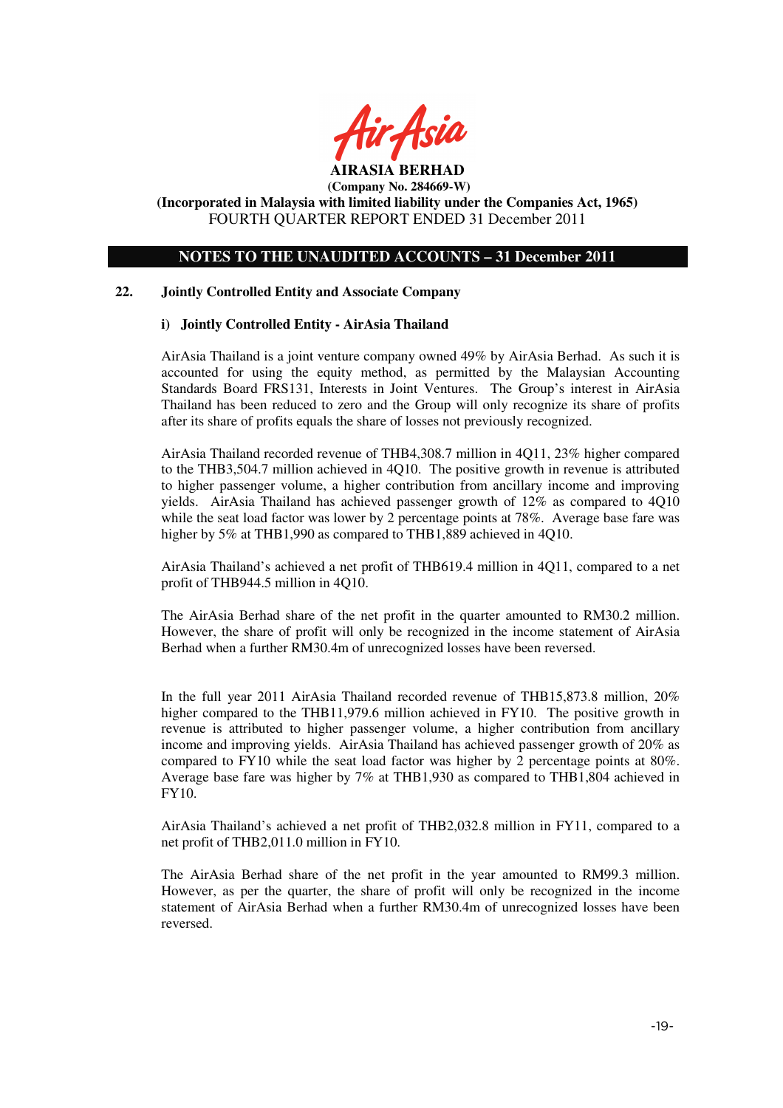

# **NOTES TO THE UNAUDITED ACCOUNTS – 31 December 2011**

## **22. Jointly Controlled Entity and Associate Company**

## **i) Jointly Controlled Entity - AirAsia Thailand**

AirAsia Thailand is a joint venture company owned 49% by AirAsia Berhad. As such it is accounted for using the equity method, as permitted by the Malaysian Accounting Standards Board FRS131, Interests in Joint Ventures. The Group's interest in AirAsia Thailand has been reduced to zero and the Group will only recognize its share of profits after its share of profits equals the share of losses not previously recognized.

AirAsia Thailand recorded revenue of THB4,308.7 million in 4Q11, 23% higher compared to the THB3,504.7 million achieved in 4Q10. The positive growth in revenue is attributed to higher passenger volume, a higher contribution from ancillary income and improving yields. AirAsia Thailand has achieved passenger growth of 12% as compared to 4Q10 while the seat load factor was lower by 2 percentage points at 78%. Average base fare was higher by 5% at THB1,990 as compared to THB1,889 achieved in 4Q10.

AirAsia Thailand's achieved a net profit of THB619.4 million in 4Q11, compared to a net profit of THB944.5 million in 4Q10.

The AirAsia Berhad share of the net profit in the quarter amounted to RM30.2 million. However, the share of profit will only be recognized in the income statement of AirAsia Berhad when a further RM30.4m of unrecognized losses have been reversed.

In the full year 2011 AirAsia Thailand recorded revenue of THB15,873.8 million, 20% higher compared to the THB11,979.6 million achieved in FY10. The positive growth in revenue is attributed to higher passenger volume, a higher contribution from ancillary income and improving yields. AirAsia Thailand has achieved passenger growth of 20% as compared to FY10 while the seat load factor was higher by 2 percentage points at 80%. Average base fare was higher by 7% at THB1,930 as compared to THB1,804 achieved in FY10.

AirAsia Thailand's achieved a net profit of THB2,032.8 million in FY11, compared to a net profit of THB2,011.0 million in FY10.

The AirAsia Berhad share of the net profit in the year amounted to RM99.3 million. However, as per the quarter, the share of profit will only be recognized in the income statement of AirAsia Berhad when a further RM30.4m of unrecognized losses have been reversed.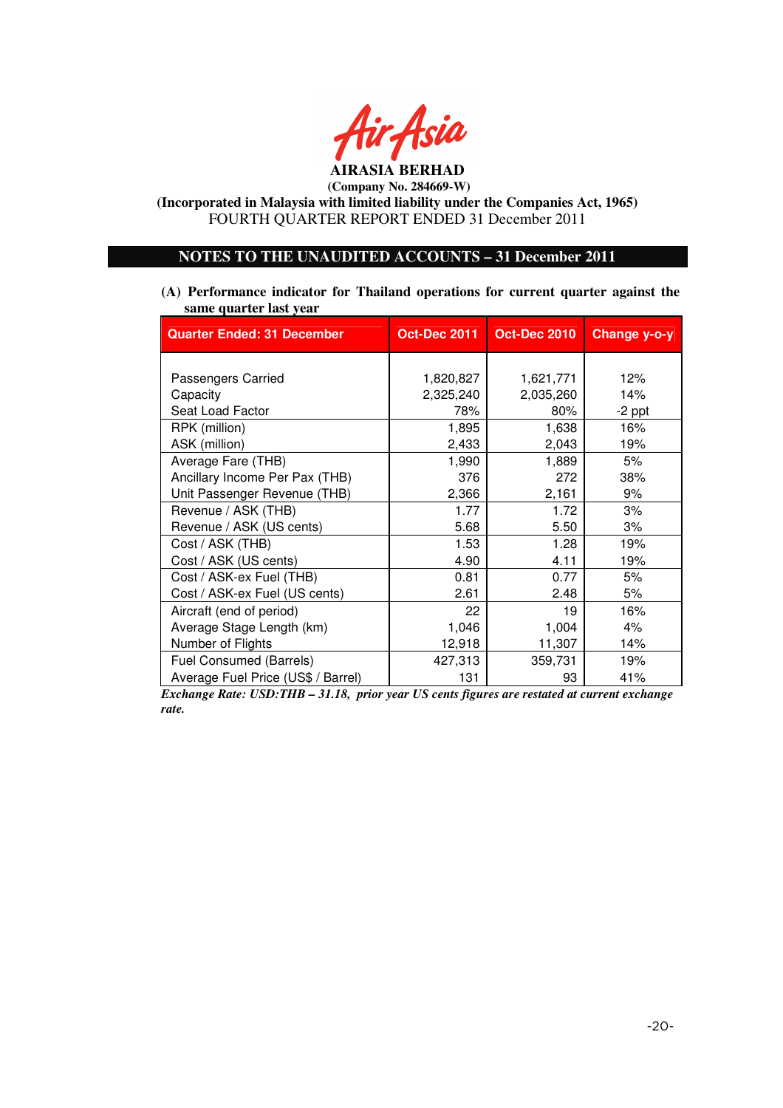

**(Incorporated in Malaysia with limited liability under the Companies Act, 1965)**  FOURTH QUARTER REPORT ENDED 31 December 2011

# **NOTES TO THE UNAUDITED ACCOUNTS – 31 December 2011**

**(A) Performance indicator for Thailand operations for current quarter against the same quarter last year**

| <b>Quarter Ended: 31 December</b>  | <b>Oct-Dec 2011</b> | <b>Oct-Dec 2010</b> | Change y-o-y |
|------------------------------------|---------------------|---------------------|--------------|
|                                    |                     |                     |              |
| Passengers Carried                 | 1,820,827           | 1,621,771           | 12%          |
| Capacity                           | 2,325,240           | 2,035,260           | 14%          |
| Seat Load Factor                   | 78%                 | 80%                 | $-2$ ppt     |
| RPK (million)                      | 1,895               | 1,638               | 16%          |
| ASK (million)                      | 2,433               | 2,043               | 19%          |
| Average Fare (THB)                 | 1,990               | 1,889               | 5%           |
| Ancillary Income Per Pax (THB)     | 376                 | 272                 | 38%          |
| Unit Passenger Revenue (THB)       | 2,366               | 2,161               | 9%           |
| Revenue / ASK (THB)                | 1.77                | 1.72                | 3%           |
| Revenue / ASK (US cents)           | 5.68                | 5.50                | 3%           |
| Cost / ASK (THB)                   | 1.53                | 1.28                | 19%          |
| Cost / ASK (US cents)              | 4.90                | 4.11                | 19%          |
| Cost / ASK-ex Fuel (THB)           | 0.81                | 0.77                | 5%           |
| Cost / ASK-ex Fuel (US cents)      | 2.61                | 2.48                | 5%           |
| Aircraft (end of period)           | 22                  | 19                  | 16%          |
| Average Stage Length (km)          | 1,046               | 1,004               | 4%           |
| Number of Flights                  | 12,918              | 11,307              | 14%          |
| Fuel Consumed (Barrels)            | 427,313             | 359,731             | 19%          |
| Average Fuel Price (US\$ / Barrel) | 131                 | 93                  | 41%          |

*Exchange Rate: USD:THB – 31.18, prior year US cents figures are restated at current exchange rate.*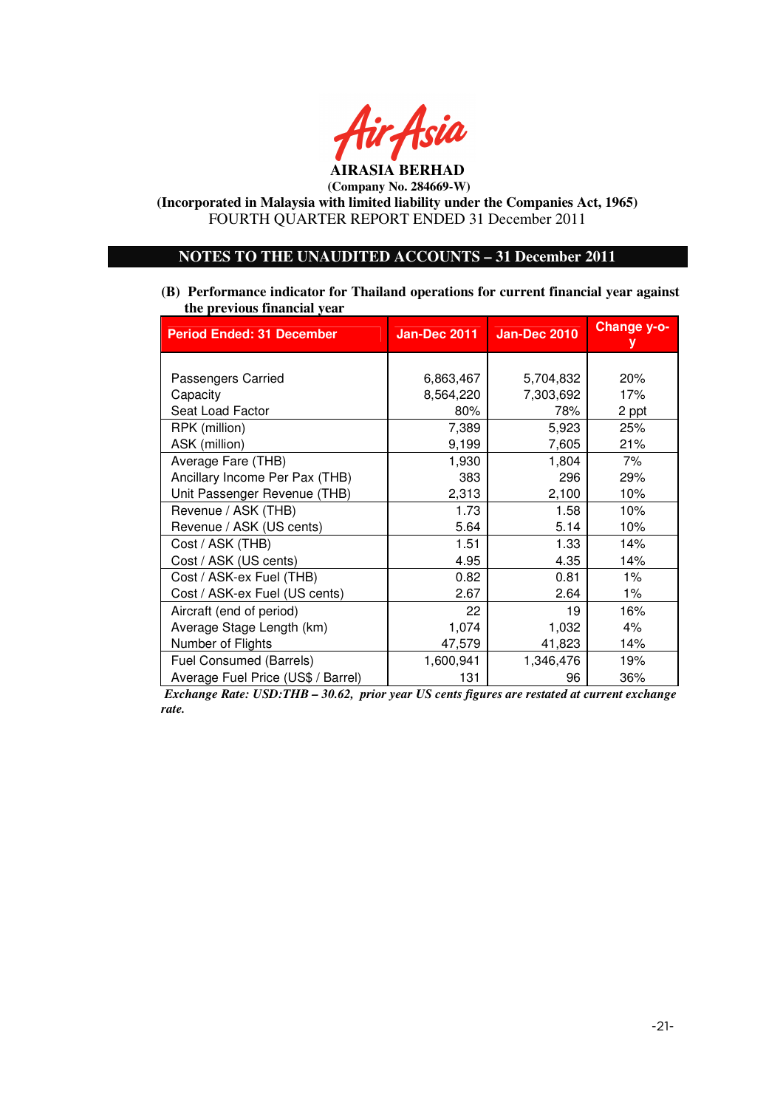

**(Incorporated in Malaysia with limited liability under the Companies Act, 1965)**  FOURTH QUARTER REPORT ENDED 31 December 2011

# **NOTES TO THE UNAUDITED ACCOUNTS – 31 December 2011**

**(B) Performance indicator for Thailand operations for current financial year against the previous financial year**

| <b>Period Ended: 31 December</b>   | Jan-Dec 2011 | <b>Jan-Dec 2010</b> | Change y-o-<br>y |
|------------------------------------|--------------|---------------------|------------------|
|                                    |              |                     |                  |
| Passengers Carried                 | 6,863,467    | 5,704,832           | 20%              |
| Capacity                           | 8,564,220    | 7,303,692           | 17%              |
| Seat Load Factor                   | 80%          | 78%                 | 2 ppt            |
| RPK (million)                      | 7,389        | 5,923               | 25%              |
| ASK (million)                      | 9,199        | 7,605               | 21%              |
| Average Fare (THB)                 | 1,930        | 1,804               | 7%               |
| Ancillary Income Per Pax (THB)     | 383          | 296                 | 29%              |
| Unit Passenger Revenue (THB)       | 2,313        | 2,100               | 10%              |
| Revenue / ASK (THB)                | 1.73         | 1.58                | 10%              |
| Revenue / ASK (US cents)           | 5.64         | 5.14                | 10%              |
| Cost / ASK (THB)                   | 1.51         | 1.33                | 14%              |
| Cost / ASK (US cents)              | 4.95         | 4.35                | 14%              |
| Cost / ASK-ex Fuel (THB)           | 0.82         | 0.81                | $1\%$            |
| Cost / ASK-ex Fuel (US cents)      | 2.67         | 2.64                | 1%               |
| Aircraft (end of period)           | 22           | 19                  | 16%              |
| Average Stage Length (km)          | 1,074        | 1,032               | $4\%$            |
| Number of Flights                  | 47,579       | 41,823              | 14%              |
| <b>Fuel Consumed (Barrels)</b>     | 1,600,941    | 1,346,476           | 19%              |
| Average Fuel Price (US\$ / Barrel) | 131          | 96                  | 36%              |

 *Exchange Rate: USD:THB – 30.62, prior year US cents figures are restated at current exchange rate.*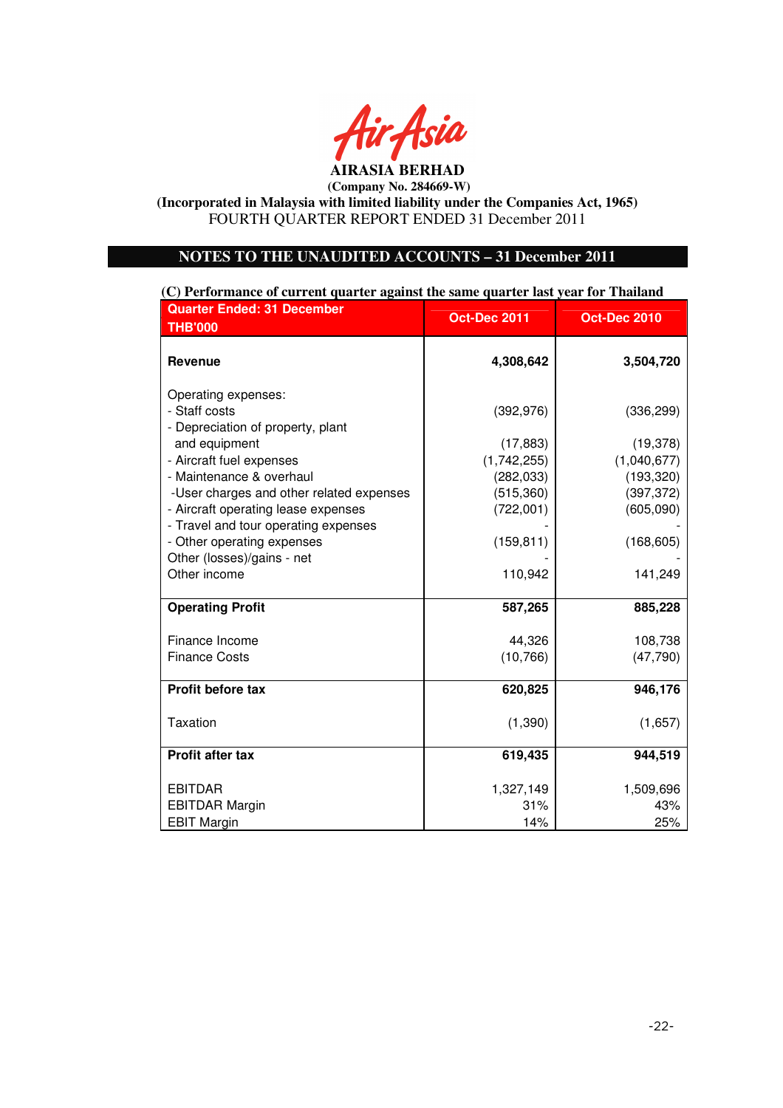

**(Incorporated in Malaysia with limited liability under the Companies Act, 1965)**  FOURTH QUARTER REPORT ENDED 31 December 2011

# **NOTES TO THE UNAUDITED ACCOUNTS – 31 December 2011**

**(C) Performance of current quarter against the same quarter last year for Thailand**

| <b>Quarter Ended: 31 December</b><br><b>THB'000</b>                             | <b>Oct-Dec 2011</b>     | <b>Oct-Dec 2010</b>     |
|---------------------------------------------------------------------------------|-------------------------|-------------------------|
| <b>Revenue</b>                                                                  | 4,308,642               | 3,504,720               |
| Operating expenses:                                                             |                         |                         |
| - Staff costs                                                                   | (392, 976)              | (336, 299)              |
| - Depreciation of property, plant                                               |                         |                         |
| and equipment                                                                   | (17, 883)               | (19, 378)               |
| - Aircraft fuel expenses                                                        | (1,742,255)             | (1,040,677)             |
| - Maintenance & overhaul                                                        | (282, 033)              | (193, 320)              |
| -User charges and other related expenses<br>- Aircraft operating lease expenses | (515, 360)<br>(722,001) | (397, 372)<br>(605,090) |
| - Travel and tour operating expenses                                            |                         |                         |
| - Other operating expenses                                                      | (159, 811)              | (168, 605)              |
| Other (losses)/gains - net                                                      |                         |                         |
| Other income                                                                    | 110,942                 | 141,249                 |
| <b>Operating Profit</b>                                                         | 587,265                 | 885,228                 |
| Finance Income                                                                  | 44,326                  | 108,738                 |
| <b>Finance Costs</b>                                                            | (10, 766)               | (47, 790)               |
| Profit before tax                                                               | 620,825                 | 946,176                 |
|                                                                                 |                         |                         |
| <b>Taxation</b>                                                                 | (1, 390)                | (1,657)                 |
| <b>Profit after tax</b>                                                         | 619,435                 | 944,519                 |
| <b>EBITDAR</b>                                                                  | 1,327,149               | 1,509,696               |
| <b>EBITDAR Margin</b>                                                           | 31%                     | 43%                     |
| <b>EBIT Margin</b>                                                              | 14%                     | 25%                     |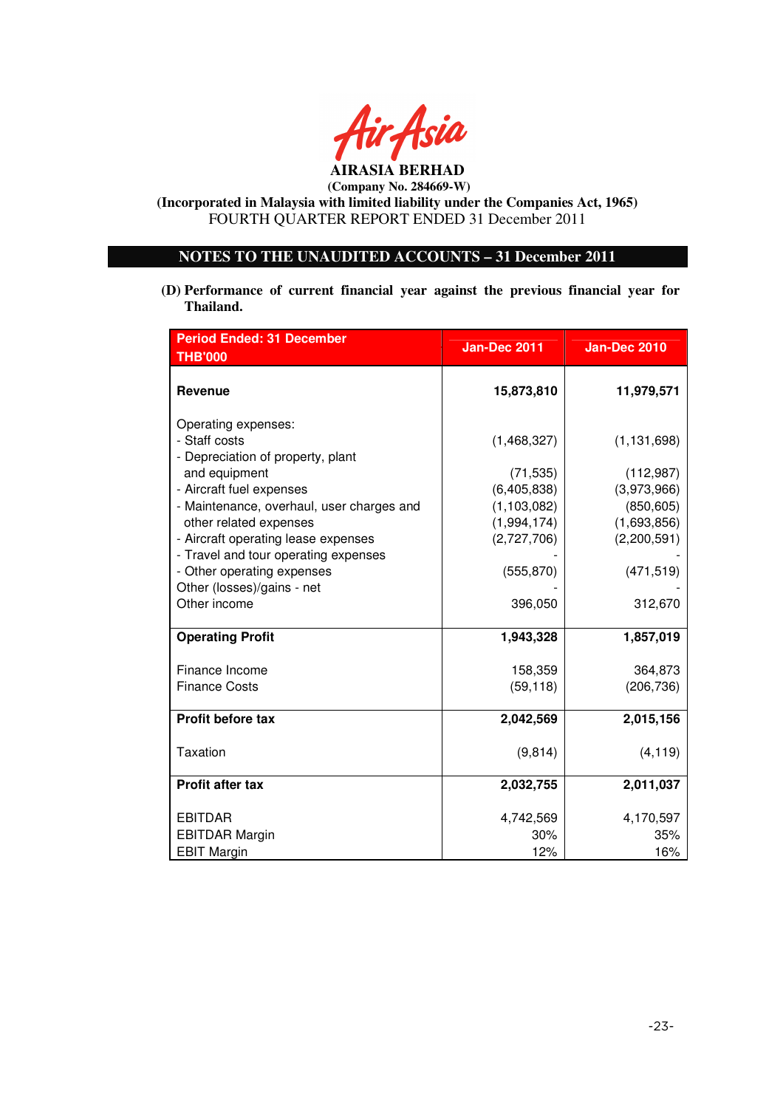

**(Incorporated in Malaysia with limited liability under the Companies Act, 1965)**  FOURTH QUARTER REPORT ENDED 31 December 2011

# **NOTES TO THE UNAUDITED ACCOUNTS – 31 December 2011**

**(D) Performance of current financial year against the previous financial year for Thailand.** 

| <b>Period Ended: 31 December</b>                                                                      | <b>Jan-Dec 2011</b>        | <b>Jan-Dec 2010</b>        |
|-------------------------------------------------------------------------------------------------------|----------------------------|----------------------------|
| <b>THB'000</b>                                                                                        |                            |                            |
| <b>Revenue</b>                                                                                        | 15,873,810                 | 11,979,571                 |
| Operating expenses:<br>- Staff costs<br>- Depreciation of property, plant                             | (1,468,327)                | (1, 131, 698)              |
| and equipment                                                                                         | (71, 535)                  | (112, 987)                 |
| - Aircraft fuel expenses                                                                              | (6, 405, 838)              | (3,973,966)                |
| - Maintenance, overhaul, user charges and                                                             | (1, 103, 082)              | (850, 605)                 |
| other related expenses<br>- Aircraft operating lease expenses<br>- Travel and tour operating expenses | (1,994,174)<br>(2,727,706) | (1,693,856)<br>(2,200,591) |
| - Other operating expenses                                                                            | (555, 870)                 | (471, 519)                 |
| Other (losses)/gains - net                                                                            |                            |                            |
| Other income                                                                                          | 396,050                    | 312,670                    |
| <b>Operating Profit</b>                                                                               | 1,943,328                  | 1,857,019                  |
| Finance Income                                                                                        | 158,359                    | 364,873                    |
| <b>Finance Costs</b>                                                                                  | (59, 118)                  | (206, 736)                 |
| Profit before tax                                                                                     | 2,042,569                  | 2,015,156                  |
| <b>Taxation</b>                                                                                       | (9, 814)                   | (4, 119)                   |
| <b>Profit after tax</b>                                                                               | 2,032,755                  | 2,011,037                  |
| <b>EBITDAR</b>                                                                                        | 4,742,569                  | 4,170,597                  |
| <b>EBITDAR Margin</b>                                                                                 | 30%                        | 35%                        |
| <b>EBIT Margin</b>                                                                                    | 12%                        | 16%                        |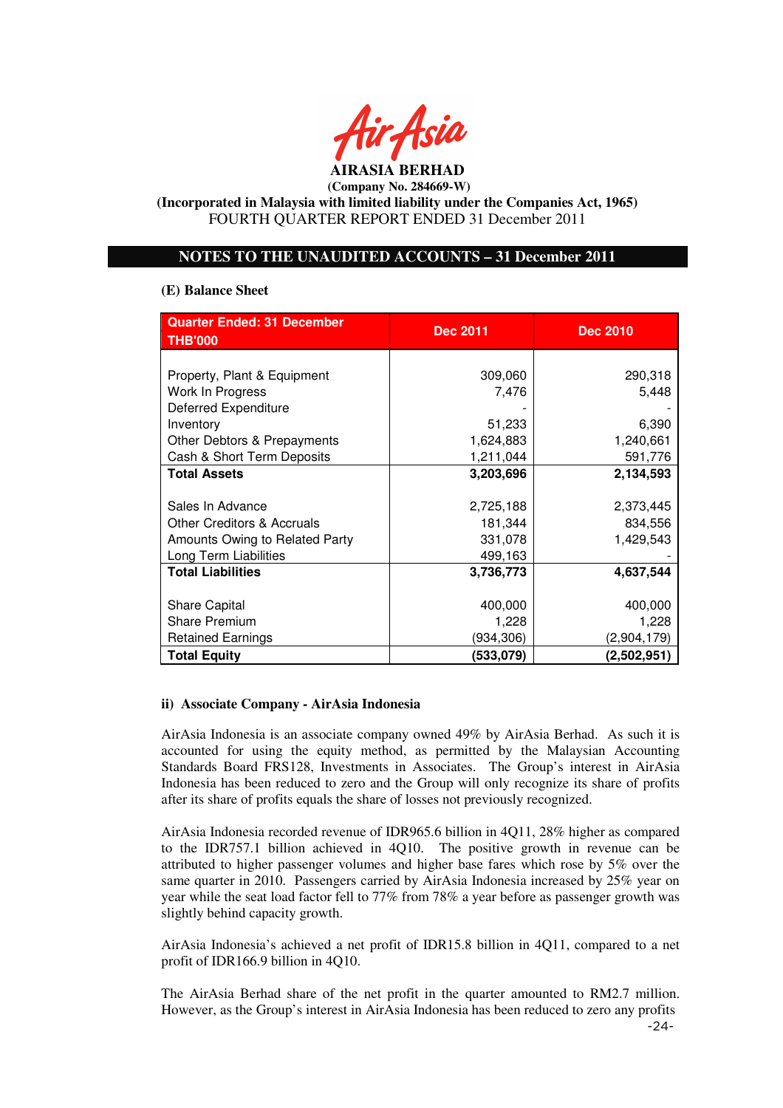

**(Incorporated in Malaysia with limited liability under the Companies Act, 1965)**  FOURTH QUARTER REPORT ENDED 31 December 2011

# **NOTES TO THE UNAUDITED ACCOUNTS – 31 December 2011**

#### **(E) Balance Sheet**

| <b>Quarter Ended: 31 December</b>     | <b>Dec 2011</b> | <b>Dec 2010</b> |
|---------------------------------------|-----------------|-----------------|
| <b>THB'000</b>                        |                 |                 |
|                                       |                 |                 |
| Property, Plant & Equipment           | 309,060         | 290,318         |
| Work In Progress                      | 7,476           | 5,448           |
| <b>Deferred Expenditure</b>           |                 |                 |
| Inventory                             | 51,233          | 6,390           |
| Other Debtors & Prepayments           | 1,624,883       | 1,240,661       |
| Cash & Short Term Deposits            | 1,211,044       | 591,776         |
| <b>Total Assets</b>                   | 3,203,696       | 2,134,593       |
|                                       |                 |                 |
| Sales In Advance                      | 2,725,188       | 2,373,445       |
| <b>Other Creditors &amp; Accruals</b> | 181,344         | 834,556         |
| Amounts Owing to Related Party        | 331,078         | 1,429,543       |
| Long Term Liabilities                 | 499,163         |                 |
| <b>Total Liabilities</b>              | 3,736,773       | 4,637,544       |
|                                       |                 |                 |
| <b>Share Capital</b>                  | 400,000         | 400,000         |
| <b>Share Premium</b>                  | 1,228           | 1,228           |
| <b>Retained Earnings</b>              | (934,306)       | (2,904,179)     |
| <b>Total Equity</b>                   | (533,079)       | (2,502,951)     |

## **ii) Associate Company - AirAsia Indonesia**

AirAsia Indonesia is an associate company owned 49% by AirAsia Berhad. As such it is accounted for using the equity method, as permitted by the Malaysian Accounting Standards Board FRS128, Investments in Associates. The Group's interest in AirAsia Indonesia has been reduced to zero and the Group will only recognize its share of profits after its share of profits equals the share of losses not previously recognized.

AirAsia Indonesia recorded revenue of IDR965.6 billion in 4Q11, 28% higher as compared to the IDR757.1 billion achieved in 4Q10. The positive growth in revenue can be attributed to higher passenger volumes and higher base fares which rose by 5% over the same quarter in 2010. Passengers carried by AirAsia Indonesia increased by 25% year on year while the seat load factor fell to 77% from 78% a year before as passenger growth was slightly behind capacity growth.

AirAsia Indonesia's achieved a net profit of IDR15.8 billion in 4Q11, compared to a net profit of IDR166.9 billion in 4Q10.

The AirAsia Berhad share of the net profit in the quarter amounted to RM2.7 million. However, as the Group's interest in AirAsia Indonesia has been reduced to zero any profits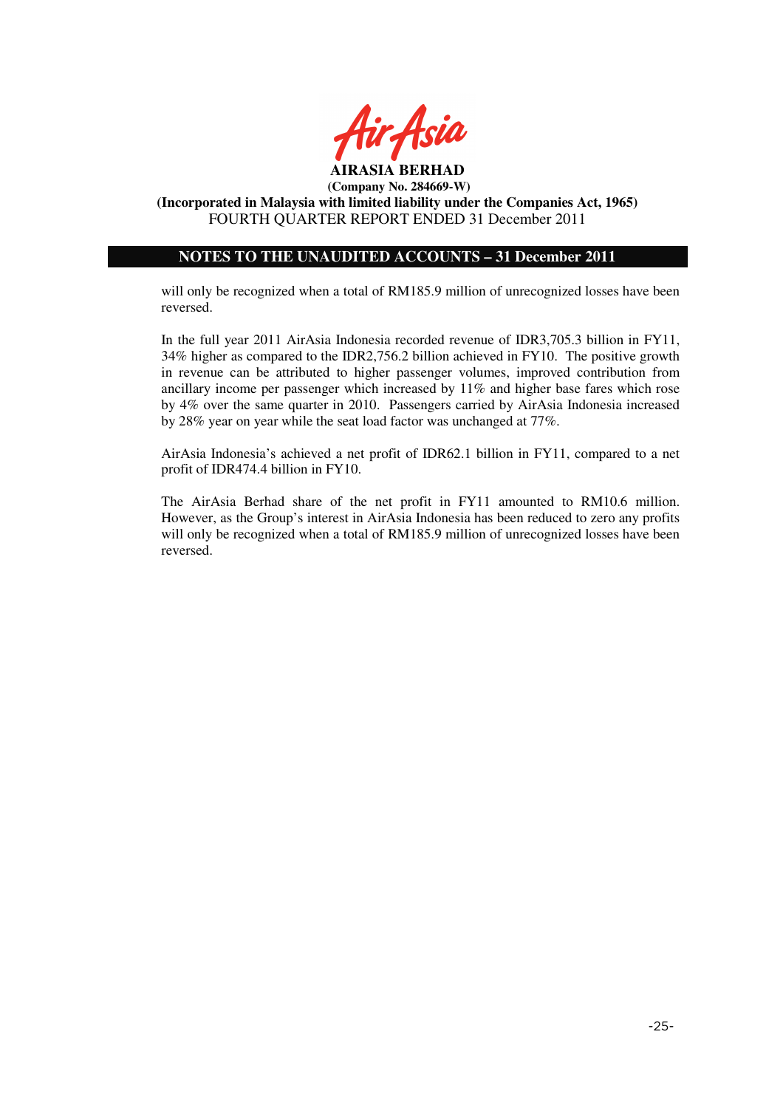

# **NOTES TO THE UNAUDITED ACCOUNTS – 31 December 2011**

will only be recognized when a total of RM185.9 million of unrecognized losses have been reversed.

In the full year 2011 AirAsia Indonesia recorded revenue of IDR3,705.3 billion in FY11, 34% higher as compared to the IDR2,756.2 billion achieved in FY10. The positive growth in revenue can be attributed to higher passenger volumes, improved contribution from ancillary income per passenger which increased by 11% and higher base fares which rose by 4% over the same quarter in 2010. Passengers carried by AirAsia Indonesia increased by 28% year on year while the seat load factor was unchanged at 77%.

AirAsia Indonesia's achieved a net profit of IDR62.1 billion in FY11, compared to a net profit of IDR474.4 billion in FY10.

The AirAsia Berhad share of the net profit in FY11 amounted to RM10.6 million. However, as the Group's interest in AirAsia Indonesia has been reduced to zero any profits will only be recognized when a total of RM185.9 million of unrecognized losses have been reversed.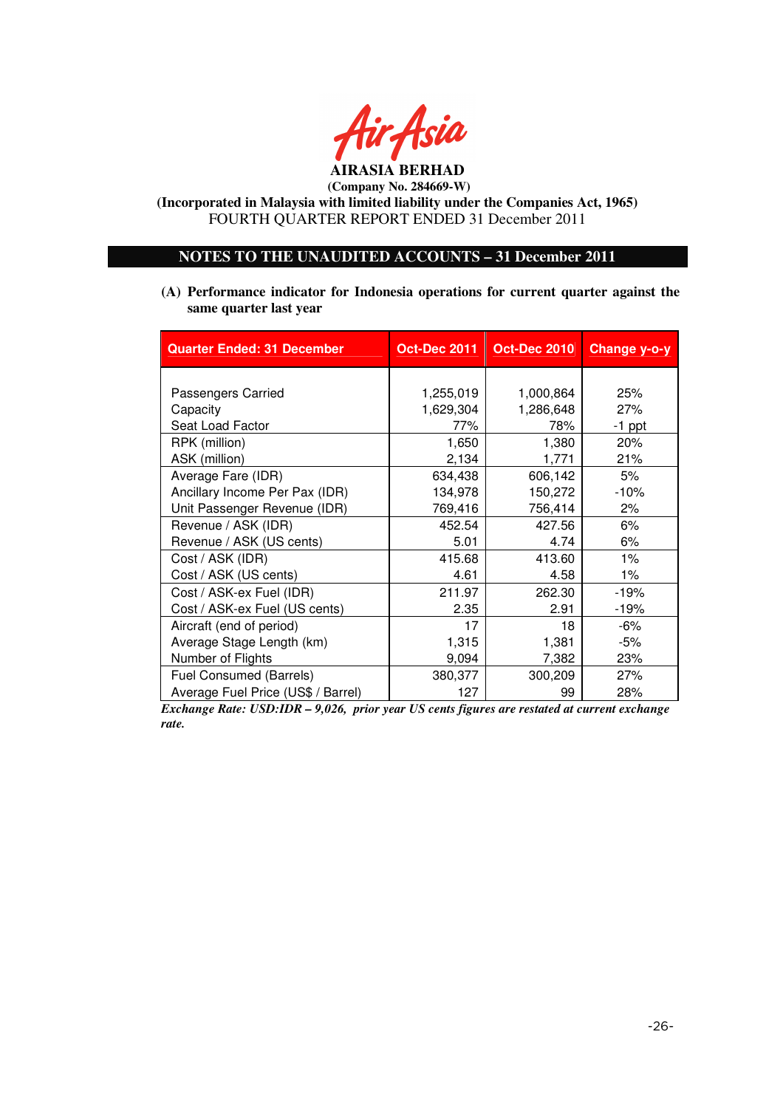

**(Incorporated in Malaysia with limited liability under the Companies Act, 1965)**  FOURTH QUARTER REPORT ENDED 31 December 2011

# **NOTES TO THE UNAUDITED ACCOUNTS – 31 December 2011**

**(A) Performance indicator for Indonesia operations for current quarter against the same quarter last year** 

| <b>Quarter Ended: 31 December</b>  | <b>Oct-Dec 2011</b> | <b>Oct-Dec 2010</b> | Change y-o-y |
|------------------------------------|---------------------|---------------------|--------------|
|                                    |                     |                     |              |
| Passengers Carried                 | 1,255,019           | 1,000,864           | 25%          |
| Capacity                           | 1,629,304           | 1,286,648           | 27%          |
| Seat Load Factor                   | 77%                 | 78%                 | $-1$ ppt     |
| RPK (million)                      | 1,650               | 1,380               | 20%          |
| ASK (million)                      | 2,134               | 1,771               | 21%          |
| Average Fare (IDR)                 | 634,438             | 606,142             | 5%           |
| Ancillary Income Per Pax (IDR)     | 134,978             | 150,272             | $-10%$       |
| Unit Passenger Revenue (IDR)       | 769,416             | 756,414             | 2%           |
| Revenue / ASK (IDR)                | 452.54              | 427.56              | 6%           |
| Revenue / ASK (US cents)           | 5.01                | 4.74                | 6%           |
| Cost / ASK (IDR)                   | 415.68              | 413.60              | $1\%$        |
| Cost / ASK (US cents)              | 4.61                | 4.58                | $1\%$        |
| Cost / ASK-ex Fuel (IDR)           | 211.97              | 262.30              | $-19%$       |
| Cost / ASK-ex Fuel (US cents)      | 2.35                | 2.91                | $-19%$       |
| Aircraft (end of period)           | 17                  | 18                  | -6%          |
| Average Stage Length (km)          | 1,315               | 1,381               | -5%          |
| Number of Flights                  | 9,094               | 7,382               | 23%          |
| Fuel Consumed (Barrels)            | 380,377             | 300,209             | 27%          |
| Average Fuel Price (US\$ / Barrel) | 127                 | 99                  | 28%          |

*Exchange Rate: USD:IDR – 9,026, prior year US cents figures are restated at current exchange rate.*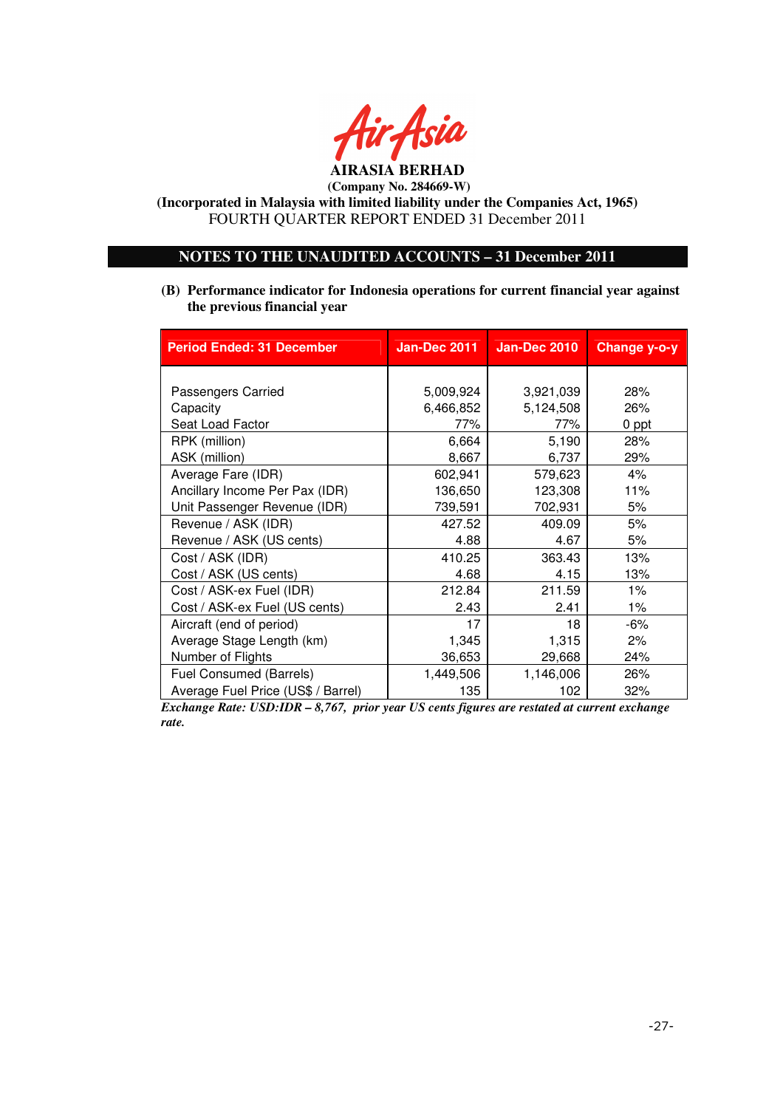

**(Incorporated in Malaysia with limited liability under the Companies Act, 1965)**  FOURTH QUARTER REPORT ENDED 31 December 2011

# **NOTES TO THE UNAUDITED ACCOUNTS – 31 December 2011**

**(B) Performance indicator for Indonesia operations for current financial year against the previous financial year** 

| <b>Period Ended: 31 December</b>   | <b>Jan-Dec 2011</b> | <b>Jan-Dec 2010</b> | Change y-o-y |
|------------------------------------|---------------------|---------------------|--------------|
|                                    |                     |                     |              |
| Passengers Carried                 | 5,009,924           | 3,921,039           | 28%          |
| Capacity                           | 6,466,852           | 5,124,508           | 26%          |
| Seat Load Factor                   | 77%                 | 77%                 | 0 ppt        |
| RPK (million)                      | 6,664               | 5,190               | 28%          |
| ASK (million)                      | 8,667               | 6,737               | 29%          |
| Average Fare (IDR)                 | 602,941             | 579,623             | 4%           |
| Ancillary Income Per Pax (IDR)     | 136,650             | 123,308             | 11%          |
| Unit Passenger Revenue (IDR)       | 739,591             | 702,931             | 5%           |
| Revenue / ASK (IDR)                | 427.52              | 409.09              | 5%           |
| Revenue / ASK (US cents)           | 4.88                | 4.67                | 5%           |
| Cost / ASK (IDR)                   | 410.25              | 363.43              | 13%          |
| Cost / ASK (US cents)              | 4.68                | 4.15                | 13%          |
| Cost / ASK-ex Fuel (IDR)           | 212.84              | 211.59              | $1\%$        |
| Cost / ASK-ex Fuel (US cents)      | 2.43                | 2.41                | $1\%$        |
| Aircraft (end of period)           | 17                  | 18                  | -6%          |
| Average Stage Length (km)          | 1,345               | 1,315               | 2%           |
| Number of Flights                  | 36,653              | 29,668              | 24%          |
| <b>Fuel Consumed (Barrels)</b>     | 1,449,506           | 1,146,006           | 26%          |
| Average Fuel Price (US\$ / Barrel) | 135                 | 102                 | 32%          |

*Exchange Rate: USD:IDR – 8,767, prior year US cents figures are restated at current exchange rate.*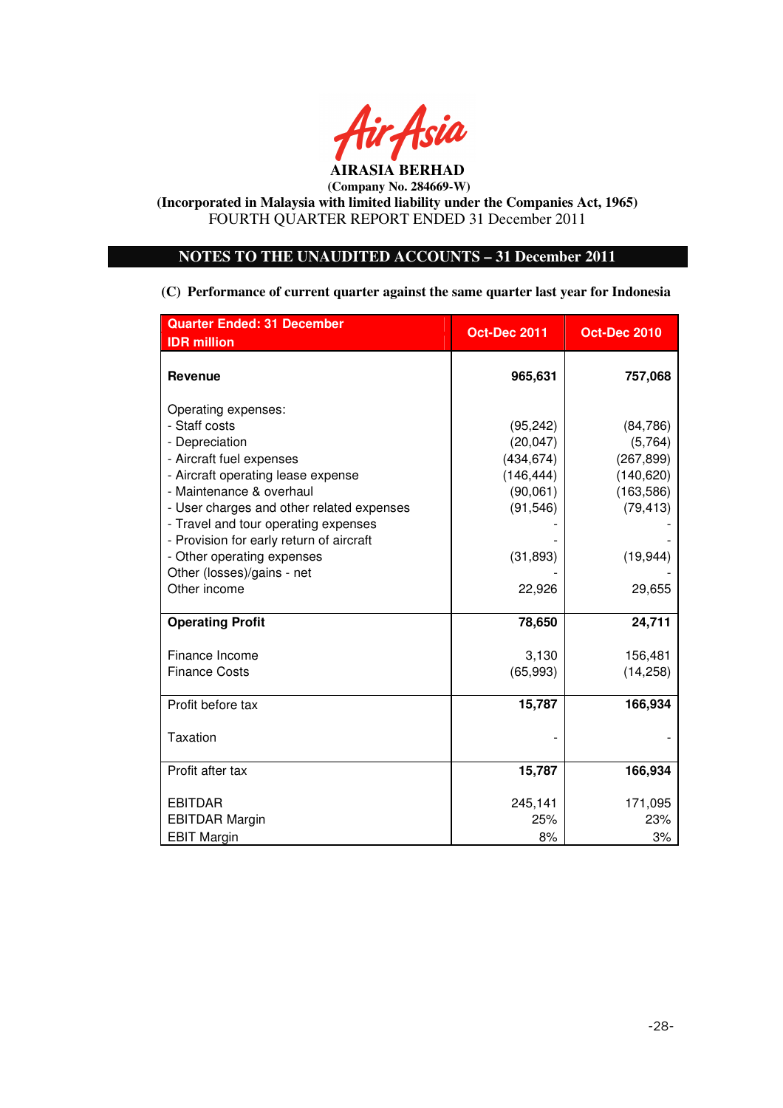

# **NOTES TO THE UNAUDITED ACCOUNTS – 31 December 2011**

**(C) Performance of current quarter against the same quarter last year for Indonesia** 

| <b>Quarter Ended: 31 December</b>         | Oct-Dec 2011 | <b>Oct-Dec 2010</b> |  |
|-------------------------------------------|--------------|---------------------|--|
| <b>IDR</b> million                        |              |                     |  |
| <b>Revenue</b>                            | 965,631      | 757,068             |  |
| Operating expenses:                       |              |                     |  |
| - Staff costs                             | (95, 242)    | (84, 786)           |  |
| - Depreciation                            | (20, 047)    | (5,764)             |  |
| - Aircraft fuel expenses                  | (434, 674)   | (267, 899)          |  |
| - Aircraft operating lease expense        | (146, 444)   | (140, 620)          |  |
| - Maintenance & overhaul                  | (90,061)     | (163, 586)          |  |
| - User charges and other related expenses | (91, 546)    | (79, 413)           |  |
| - Travel and tour operating expenses      |              |                     |  |
| - Provision for early return of aircraft  |              |                     |  |
| - Other operating expenses                | (31, 893)    | (19, 944)           |  |
| Other (losses)/gains - net                |              |                     |  |
| Other income                              | 22,926       | 29,655              |  |
| <b>Operating Profit</b>                   | 78,650       | 24,711              |  |
| Finance Income                            | 3,130        | 156,481             |  |
| <b>Finance Costs</b>                      | (65, 993)    | (14, 258)           |  |
| Profit before tax                         | 15,787       | 166,934             |  |
| Taxation                                  |              |                     |  |
| Profit after tax                          | 15,787       | 166,934             |  |
| <b>EBITDAR</b>                            | 245,141      | 171,095             |  |
| <b>EBITDAR Margin</b>                     | 25%          | 23%                 |  |
| <b>EBIT Margin</b>                        | 8%           | 3%                  |  |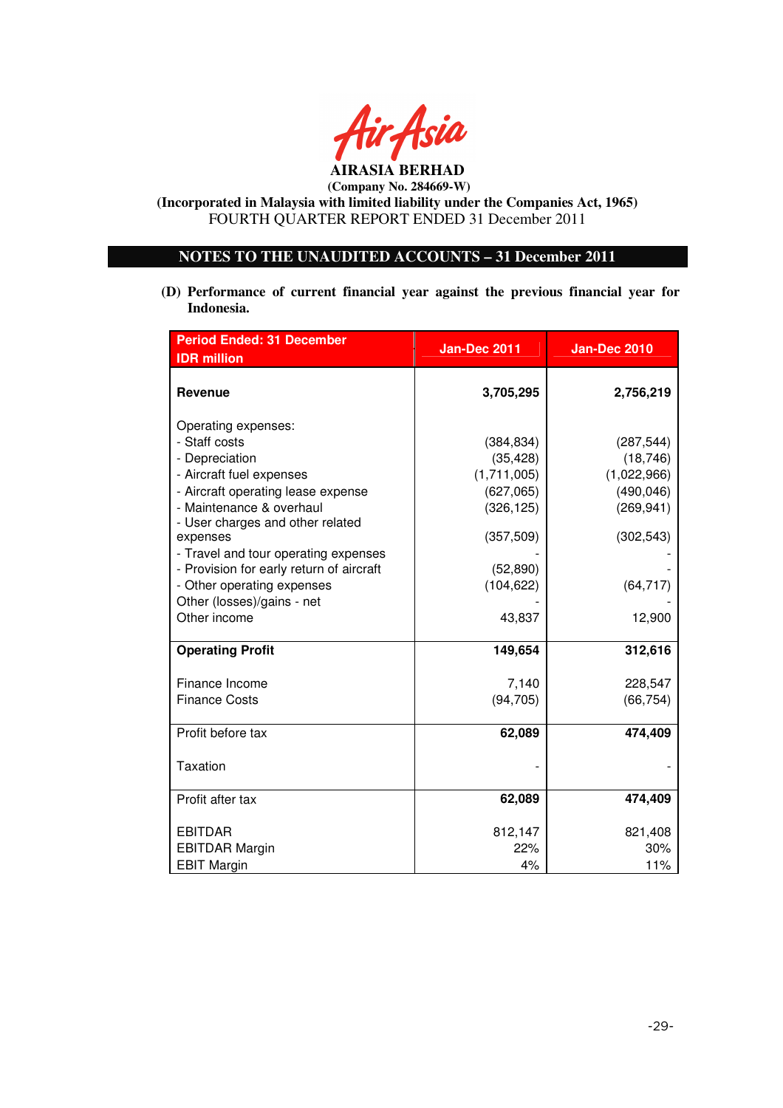

**(Incorporated in Malaysia with limited liability under the Companies Act, 1965)**  FOURTH QUARTER REPORT ENDED 31 December 2011

# **NOTES TO THE UNAUDITED ACCOUNTS – 31 December 2011**

**(D) Performance of current financial year against the previous financial year for Indonesia.** 

| <b>Period Ended: 31 December</b>                                                                                                                     | <b>Jan-Dec 2011</b>                                               | <b>Jan-Dec 2010</b>                                                |  |
|------------------------------------------------------------------------------------------------------------------------------------------------------|-------------------------------------------------------------------|--------------------------------------------------------------------|--|
| <b>IDR</b> million                                                                                                                                   |                                                                   |                                                                    |  |
| <b>Revenue</b>                                                                                                                                       | 3,705,295                                                         | 2,756,219                                                          |  |
| Operating expenses:<br>- Staff costs<br>- Depreciation<br>- Aircraft fuel expenses<br>- Aircraft operating lease expense<br>- Maintenance & overhaul | (384, 834)<br>(35, 428)<br>(1,711,005)<br>(627,065)<br>(326, 125) | (287, 544)<br>(18, 746)<br>(1,022,966)<br>(490, 046)<br>(269, 941) |  |
| - User charges and other related<br>expenses<br>- Travel and tour operating expenses<br>- Provision for early return of aircraft                     | (357, 509)<br>(52, 890)                                           | (302, 543)                                                         |  |
| - Other operating expenses<br>Other (losses)/gains - net                                                                                             | (104, 622)                                                        | (64, 717)                                                          |  |
| Other income                                                                                                                                         | 43,837                                                            | 12,900                                                             |  |
| <b>Operating Profit</b>                                                                                                                              | 149,654                                                           | 312,616                                                            |  |
| Finance Income<br><b>Finance Costs</b>                                                                                                               | 7,140<br>(94, 705)                                                | 228,547<br>(66, 754)                                               |  |
| Profit before tax                                                                                                                                    | 62,089                                                            | 474,409                                                            |  |
| Taxation                                                                                                                                             |                                                                   |                                                                    |  |
| Profit after tax                                                                                                                                     | 62,089                                                            | 474,409                                                            |  |
| <b>EBITDAR</b><br><b>EBITDAR Margin</b>                                                                                                              | 812,147<br>22%                                                    | 821,408<br>30%                                                     |  |
| <b>EBIT Margin</b>                                                                                                                                   | 4%                                                                | 11%                                                                |  |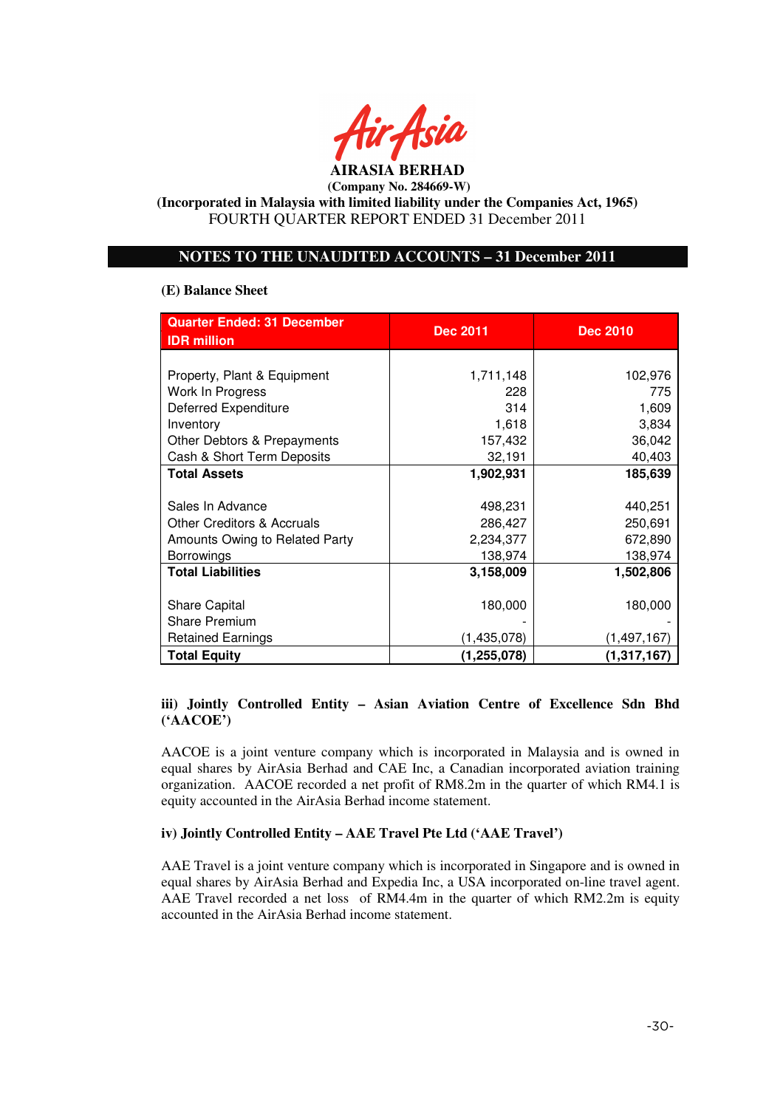

# **(Incorporated in Malaysia with limited liability under the Companies Act, 1965)**  FOURTH QUARTER REPORT ENDED 31 December 2011

# **NOTES TO THE UNAUDITED ACCOUNTS – 31 December 2011**

## **(E) Balance Sheet**

| <b>Quarter Ended: 31 December</b><br><b>IDR</b> million | <b>Dec 2011</b> | <b>Dec 2010</b> |  |
|---------------------------------------------------------|-----------------|-----------------|--|
|                                                         |                 |                 |  |
| Property, Plant & Equipment                             | 1,711,148       | 102,976         |  |
| Work In Progress                                        | 228             | 775             |  |
| Deferred Expenditure                                    | 314             | 1,609           |  |
| Inventory                                               | 1,618           | 3,834           |  |
| Other Debtors & Prepayments                             | 157,432         | 36,042          |  |
| Cash & Short Term Deposits                              | 32,191          | 40,403          |  |
| <b>Total Assets</b>                                     | 1,902,931       | 185,639         |  |
|                                                         |                 |                 |  |
| Sales In Advance                                        | 498,231         | 440,251         |  |
| Other Creditors & Accruals                              | 286,427         | 250,691         |  |
| Amounts Owing to Related Party                          | 2,234,377       | 672,890         |  |
| <b>Borrowings</b>                                       | 138,974         | 138,974         |  |
| <b>Total Liabilities</b>                                | 3,158,009       | 1,502,806       |  |
|                                                         |                 |                 |  |
| <b>Share Capital</b>                                    | 180,000         | 180,000         |  |
| <b>Share Premium</b>                                    |                 |                 |  |
| <b>Retained Earnings</b>                                | (1,435,078)     | (1, 497, 167)   |  |
| <b>Total Equity</b>                                     | (1,255,078)     | (1, 317, 167)   |  |

# **iii) Jointly Controlled Entity – Asian Aviation Centre of Excellence Sdn Bhd ('AACOE')**

AACOE is a joint venture company which is incorporated in Malaysia and is owned in equal shares by AirAsia Berhad and CAE Inc, a Canadian incorporated aviation training organization. AACOE recorded a net profit of RM8.2m in the quarter of which RM4.1 is equity accounted in the AirAsia Berhad income statement.

## **iv) Jointly Controlled Entity – AAE Travel Pte Ltd ('AAE Travel')**

AAE Travel is a joint venture company which is incorporated in Singapore and is owned in equal shares by AirAsia Berhad and Expedia Inc, a USA incorporated on-line travel agent. AAE Travel recorded a net loss of RM4.4m in the quarter of which RM2.2m is equity accounted in the AirAsia Berhad income statement.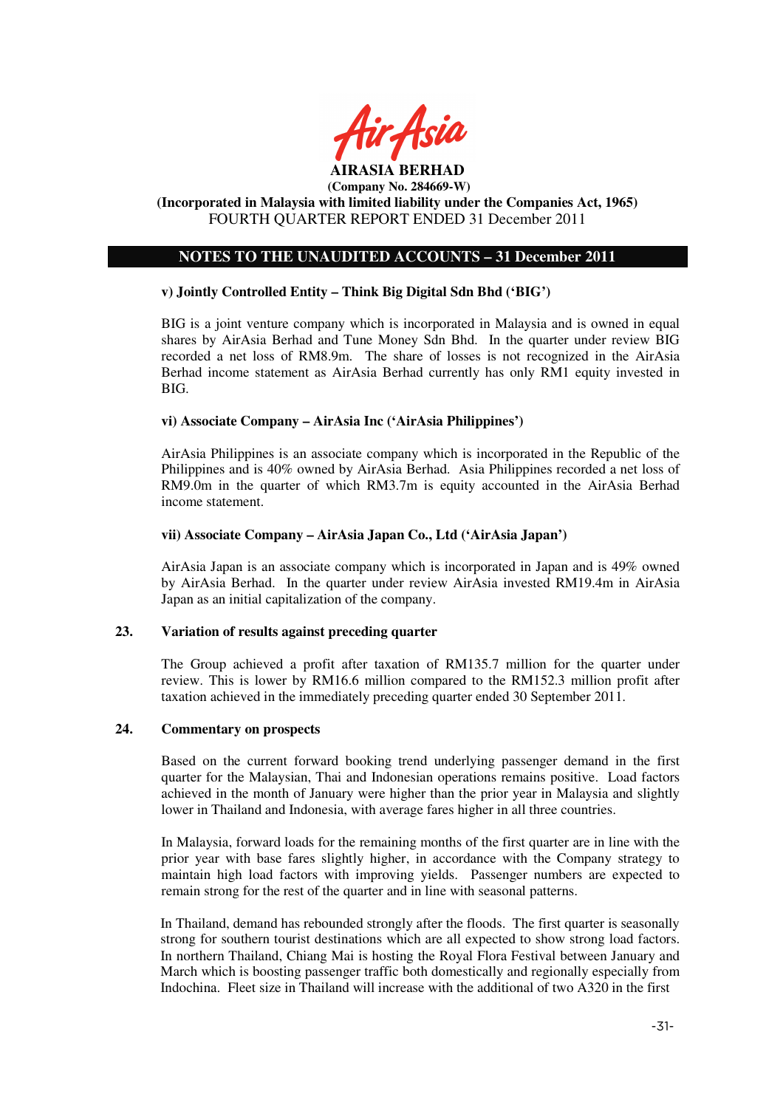

#### **(Incorporated in Malaysia with limited liability under the Companies Act, 1965)**  FOURTH QUARTER REPORT ENDED 31 December 2011

# **NOTES TO THE UNAUDITED ACCOUNTS – 31 December 2011**

## **v) Jointly Controlled Entity – Think Big Digital Sdn Bhd ('BIG')**

BIG is a joint venture company which is incorporated in Malaysia and is owned in equal shares by AirAsia Berhad and Tune Money Sdn Bhd. In the quarter under review BIG recorded a net loss of RM8.9m. The share of losses is not recognized in the AirAsia Berhad income statement as AirAsia Berhad currently has only RM1 equity invested in BIG.

#### **vi) Associate Company – AirAsia Inc ('AirAsia Philippines')**

AirAsia Philippines is an associate company which is incorporated in the Republic of the Philippines and is 40% owned by AirAsia Berhad. Asia Philippines recorded a net loss of RM9.0m in the quarter of which RM3.7m is equity accounted in the AirAsia Berhad income statement.

#### **vii) Associate Company – AirAsia Japan Co., Ltd ('AirAsia Japan')**

AirAsia Japan is an associate company which is incorporated in Japan and is 49% owned by AirAsia Berhad. In the quarter under review AirAsia invested RM19.4m in AirAsia Japan as an initial capitalization of the company.

## **23. Variation of results against preceding quarter**

The Group achieved a profit after taxation of RM135.7 million for the quarter under review. This is lower by RM16.6 million compared to the RM152.3 million profit after taxation achieved in the immediately preceding quarter ended 30 September 2011.

## **24. Commentary on prospects**

Based on the current forward booking trend underlying passenger demand in the first quarter for the Malaysian, Thai and Indonesian operations remains positive. Load factors achieved in the month of January were higher than the prior year in Malaysia and slightly lower in Thailand and Indonesia, with average fares higher in all three countries.

In Malaysia, forward loads for the remaining months of the first quarter are in line with the prior year with base fares slightly higher, in accordance with the Company strategy to maintain high load factors with improving yields. Passenger numbers are expected to remain strong for the rest of the quarter and in line with seasonal patterns.

In Thailand, demand has rebounded strongly after the floods. The first quarter is seasonally strong for southern tourist destinations which are all expected to show strong load factors. In northern Thailand, Chiang Mai is hosting the Royal Flora Festival between January and March which is boosting passenger traffic both domestically and regionally especially from Indochina. Fleet size in Thailand will increase with the additional of two A320 in the first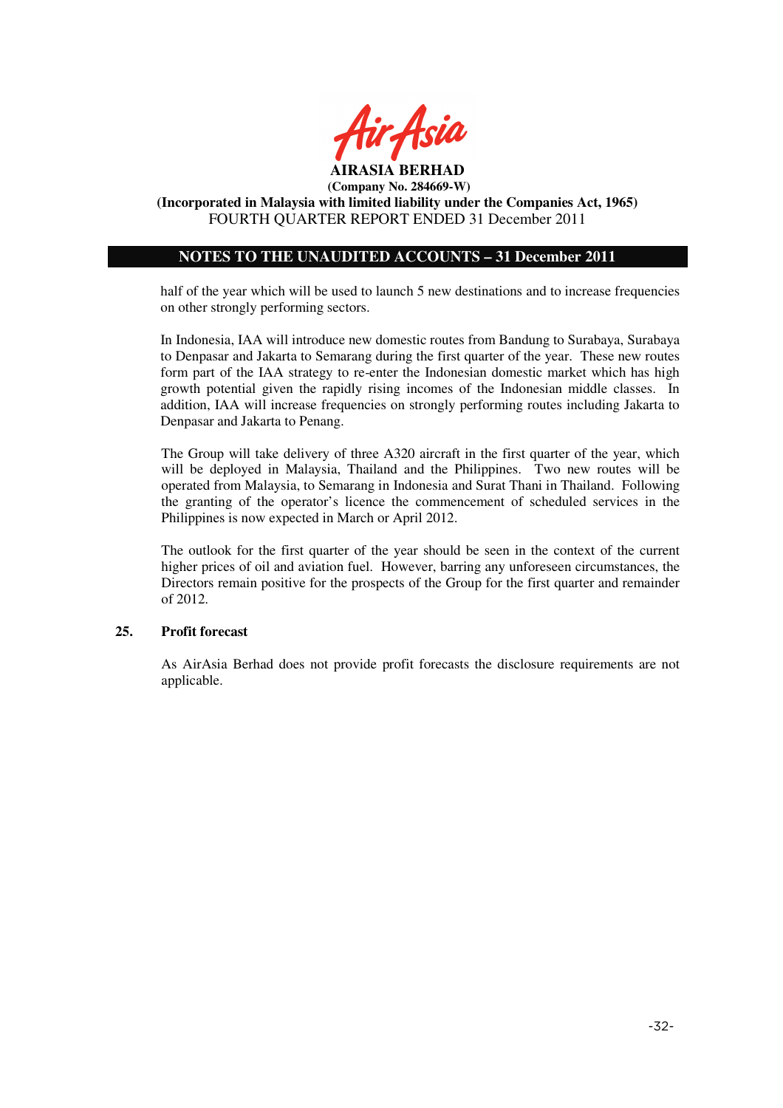

**(Incorporated in Malaysia with limited liability under the Companies Act, 1965)**  FOURTH QUARTER REPORT ENDED 31 December 2011

# **NOTES TO THE UNAUDITED ACCOUNTS – 31 December 2011**

half of the year which will be used to launch 5 new destinations and to increase frequencies on other strongly performing sectors.

In Indonesia, IAA will introduce new domestic routes from Bandung to Surabaya, Surabaya to Denpasar and Jakarta to Semarang during the first quarter of the year. These new routes form part of the IAA strategy to re-enter the Indonesian domestic market which has high growth potential given the rapidly rising incomes of the Indonesian middle classes. In addition, IAA will increase frequencies on strongly performing routes including Jakarta to Denpasar and Jakarta to Penang.

The Group will take delivery of three A320 aircraft in the first quarter of the year, which will be deployed in Malaysia, Thailand and the Philippines. Two new routes will be operated from Malaysia, to Semarang in Indonesia and Surat Thani in Thailand. Following the granting of the operator's licence the commencement of scheduled services in the Philippines is now expected in March or April 2012.

The outlook for the first quarter of the year should be seen in the context of the current higher prices of oil and aviation fuel. However, barring any unforeseen circumstances, the Directors remain positive for the prospects of the Group for the first quarter and remainder of 2012.

## **25. Profit forecast**

As AirAsia Berhad does not provide profit forecasts the disclosure requirements are not applicable.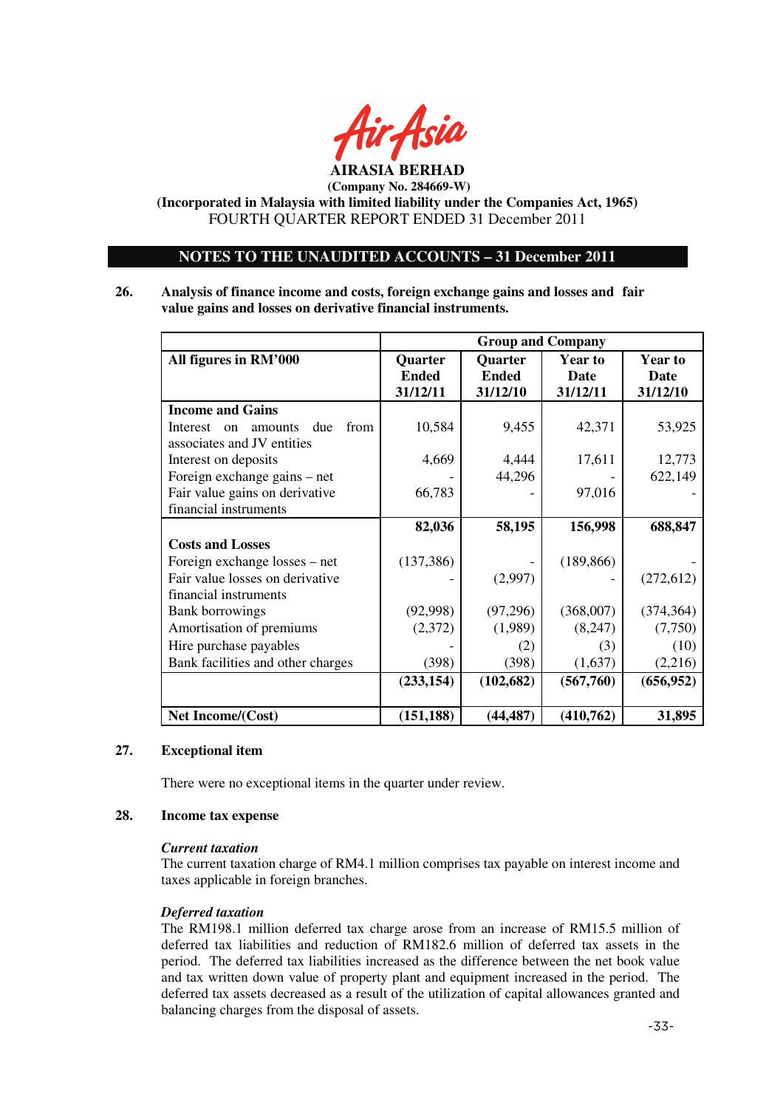

**(Incorporated in Malaysia with limited liability under the Companies Act, 1965)**  FOURTH QUARTER REPORT ENDED 31 December 2011

# **NOTES TO THE UNAUDITED ACCOUNTS – 31 December 2011**

**26. Analysis of finance income and costs, foreign exchange gains and losses and fair value gains and losses on derivative financial instruments.** 

|                                                     | <b>Group and Company</b> |              |             |                |
|-----------------------------------------------------|--------------------------|--------------|-------------|----------------|
| All figures in RM'000                               | Quarter                  | Quarter      | Year to     | <b>Year to</b> |
|                                                     | <b>Ended</b>             | <b>Ended</b> | <b>Date</b> | Date           |
|                                                     | 31/12/11                 | 31/12/10     | 31/12/11    | 31/12/10       |
| <b>Income and Gains</b>                             |                          |              |             |                |
| due<br>from<br>Interest<br>amounts<br><sub>on</sub> | 10,584                   | 9,455        | 42,371      | 53,925         |
| associates and JV entities                          |                          |              |             |                |
| Interest on deposits                                | 4,669                    | 4,444        | 17,611      | 12,773         |
| Foreign exchange gains – net                        |                          | 44,296       |             | 622,149        |
| Fair value gains on derivative                      | 66,783                   |              | 97,016      |                |
| financial instruments                               |                          |              |             |                |
|                                                     | 82,036                   | 58,195       | 156,998     | 688,847        |
| <b>Costs and Losses</b>                             |                          |              |             |                |
| Foreign exchange losses – net                       | (137, 386)               |              | (189, 866)  |                |
| Fair value losses on derivative                     |                          | (2,997)      |             | (272, 612)     |
| financial instruments                               |                          |              |             |                |
| <b>Bank borrowings</b>                              | (92,998)                 | (97,296)     | (368,007)   | (374, 364)     |
| Amortisation of premiums                            | (2,372)                  | (1,989)      | (8,247)     | (7,750)        |
| Hire purchase payables                              |                          | (2)          | (3)         | (10)           |
| Bank facilities and other charges                   | (398)                    | (398)        | (1,637)     | (2,216)        |
|                                                     | (233, 154)               | (102, 682)   | (567,760)   | (656, 952)     |
|                                                     |                          |              |             |                |
| Net Income/(Cost)                                   | (151, 188)               | (44, 487)    | (410,762)   | 31,895         |

## **27. Exceptional item**

There were no exceptional items in the quarter under review.

#### **28. Income tax expense**

#### *Current taxation*

The current taxation charge of RM4.1 million comprises tax payable on interest income and taxes applicable in foreign branches.

#### *Deferred taxation*

The RM198.1 million deferred tax charge arose from an increase of RM15.5 million of deferred tax liabilities and reduction of RM182.6 million of deferred tax assets in the period. The deferred tax liabilities increased as the difference between the net book value and tax written down value of property plant and equipment increased in the period. The deferred tax assets decreased as a result of the utilization of capital allowances granted and balancing charges from the disposal of assets.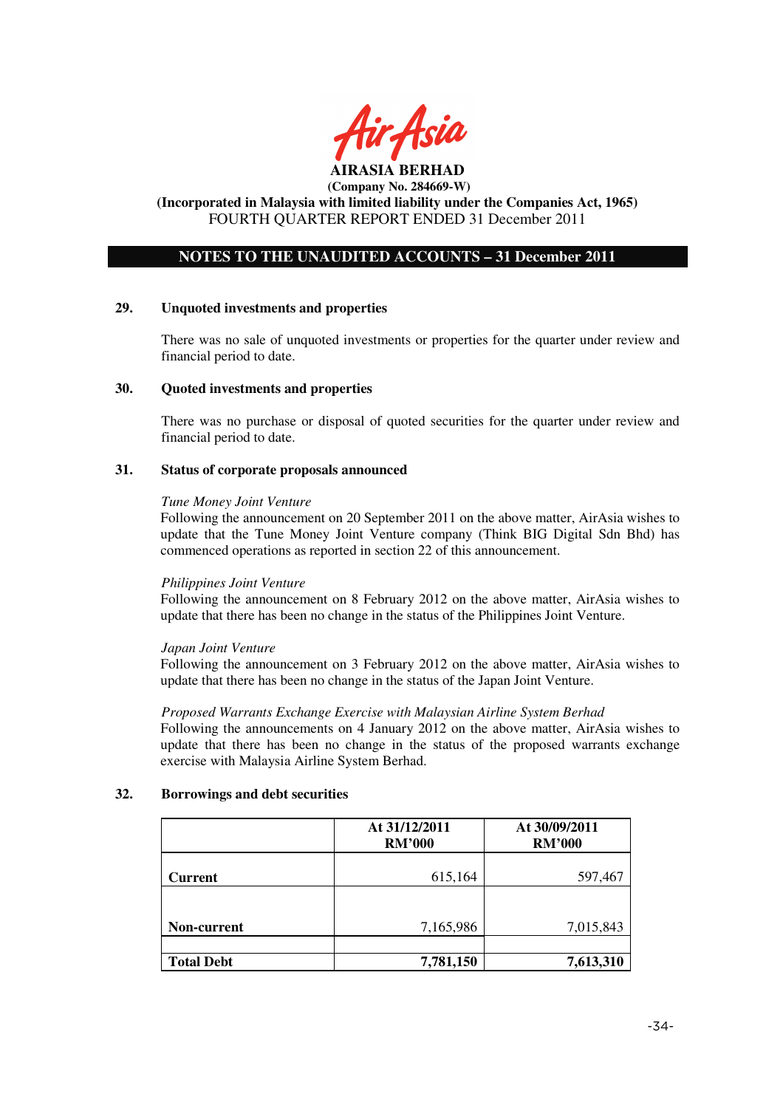

#### **AIRASIA BERHAD (Company No. 284669-W)**

# **(Incorporated in Malaysia with limited liability under the Companies Act, 1965)**  FOURTH QUARTER REPORT ENDED 31 December 2011

# **NOTES TO THE UNAUDITED ACCOUNTS – 31 December 2011**

## **29. Unquoted investments and properties**

There was no sale of unquoted investments or properties for the quarter under review and financial period to date.

## **30. Quoted investments and properties**

There was no purchase or disposal of quoted securities for the quarter under review and financial period to date.

#### **31. Status of corporate proposals announced**

#### *Tune Money Joint Venture*

Following the announcement on 20 September 2011 on the above matter, AirAsia wishes to update that the Tune Money Joint Venture company (Think BIG Digital Sdn Bhd) has commenced operations as reported in section 22 of this announcement.

## *Philippines Joint Venture*

Following the announcement on 8 February 2012 on the above matter, AirAsia wishes to update that there has been no change in the status of the Philippines Joint Venture.

## *Japan Joint Venture*

Following the announcement on 3 February 2012 on the above matter, AirAsia wishes to update that there has been no change in the status of the Japan Joint Venture.

#### *Proposed Warrants Exchange Exercise with Malaysian Airline System Berhad*

Following the announcements on 4 January 2012 on the above matter, AirAsia wishes to update that there has been no change in the status of the proposed warrants exchange exercise with Malaysia Airline System Berhad.

## **32. Borrowings and debt securities**

|                   | At 31/12/2011<br><b>RM'000</b> | At 30/09/2011<br><b>RM'000</b> |
|-------------------|--------------------------------|--------------------------------|
| <b>Current</b>    | 615,164                        | 597,467                        |
|                   |                                |                                |
| Non-current       | 7,165,986                      | 7,015,843                      |
|                   |                                |                                |
| <b>Total Debt</b> | 7,781,150                      | 7,613,310                      |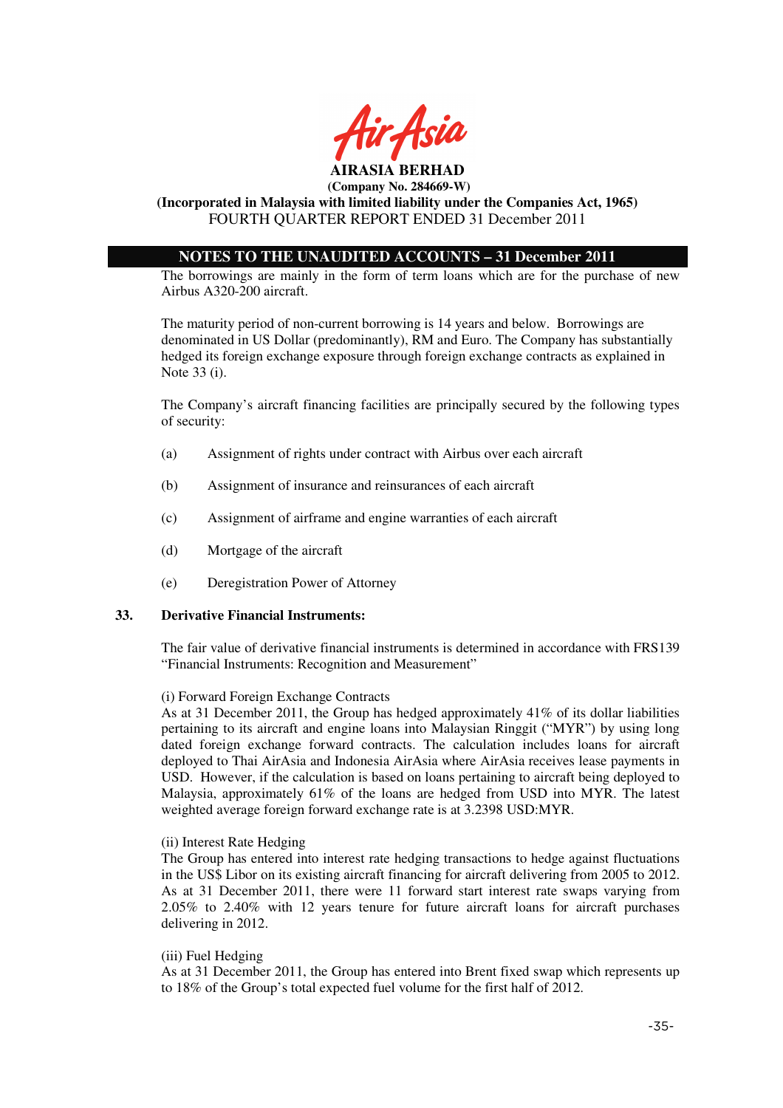

# **(Incorporated in Malaysia with limited liability under the Companies Act, 1965)**  FOURTH QUARTER REPORT ENDED 31 December 2011

# **NOTES TO THE UNAUDITED ACCOUNTS – 31 December 2011**

The borrowings are mainly in the form of term loans which are for the purchase of new Airbus A320-200 aircraft.

The maturity period of non-current borrowing is 14 years and below. Borrowings are denominated in US Dollar (predominantly), RM and Euro. The Company has substantially hedged its foreign exchange exposure through foreign exchange contracts as explained in Note 33 (i).

The Company's aircraft financing facilities are principally secured by the following types of security:

- (a) Assignment of rights under contract with Airbus over each aircraft
- (b) Assignment of insurance and reinsurances of each aircraft
- (c) Assignment of airframe and engine warranties of each aircraft
- (d) Mortgage of the aircraft
- (e) Deregistration Power of Attorney

#### **33. Derivative Financial Instruments:**

The fair value of derivative financial instruments is determined in accordance with FRS139 "Financial Instruments: Recognition and Measurement"

#### (i) Forward Foreign Exchange Contracts

As at 31 December 2011, the Group has hedged approximately 41% of its dollar liabilities pertaining to its aircraft and engine loans into Malaysian Ringgit ("MYR") by using long dated foreign exchange forward contracts. The calculation includes loans for aircraft deployed to Thai AirAsia and Indonesia AirAsia where AirAsia receives lease payments in USD. However, if the calculation is based on loans pertaining to aircraft being deployed to Malaysia, approximately 61% of the loans are hedged from USD into MYR. The latest weighted average foreign forward exchange rate is at 3.2398 USD:MYR.

#### (ii) Interest Rate Hedging

The Group has entered into interest rate hedging transactions to hedge against fluctuations in the US\$ Libor on its existing aircraft financing for aircraft delivering from 2005 to 2012. As at 31 December 2011, there were 11 forward start interest rate swaps varying from 2.05% to 2.40% with 12 years tenure for future aircraft loans for aircraft purchases delivering in 2012.

#### (iii) Fuel Hedging

As at 31 December 2011, the Group has entered into Brent fixed swap which represents up to 18% of the Group's total expected fuel volume for the first half of 2012.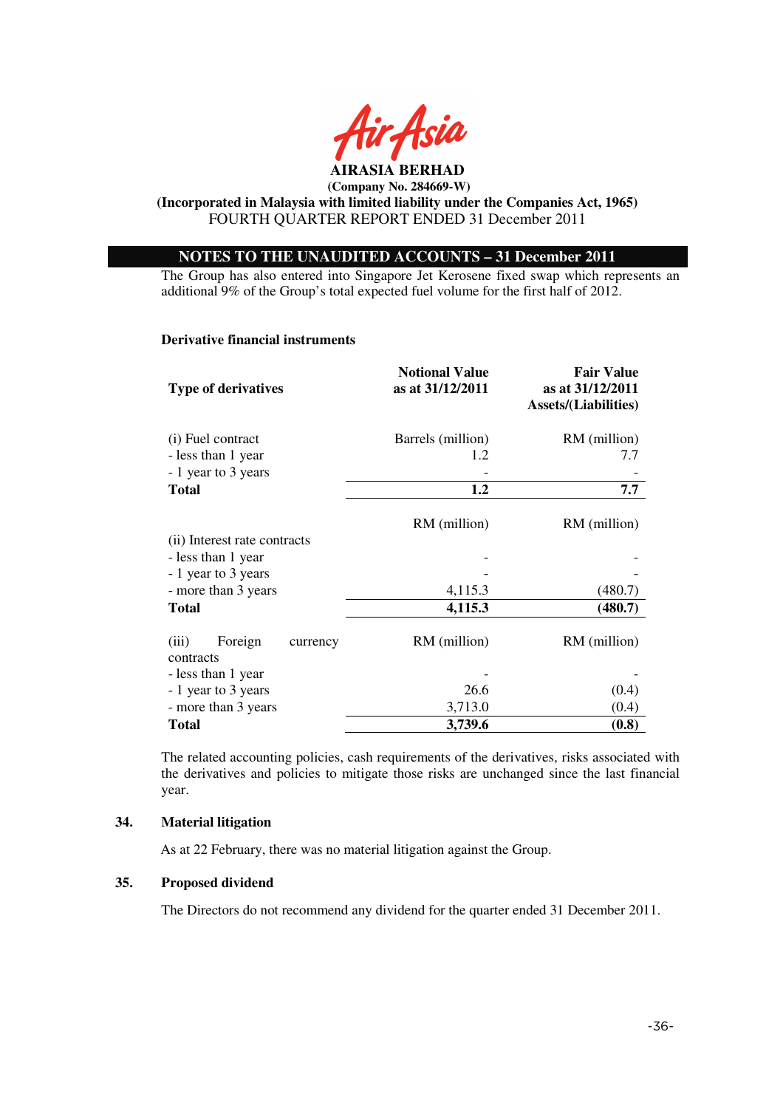

**(Incorporated in Malaysia with limited liability under the Companies Act, 1965)**  FOURTH QUARTER REPORT ENDED 31 December 2011

# **NOTES TO THE UNAUDITED ACCOUNTS – 31 December 2011**

The Group has also entered into Singapore Jet Kerosene fixed swap which represents an additional 9% of the Group's total expected fuel volume for the first half of 2012.

#### **Derivative financial instruments**

| <b>Type of derivatives</b>                | <b>Notional Value</b><br>as at 31/12/2011 | <b>Fair Value</b><br>as at 31/12/2011<br><b>Assets/(Liabilities)</b> |
|-------------------------------------------|-------------------------------------------|----------------------------------------------------------------------|
| (i) Fuel contract                         | Barrels (million)                         | RM (million)                                                         |
| - less than 1 year                        | 1.2                                       | 7.7                                                                  |
| - 1 year to 3 years                       |                                           |                                                                      |
| <b>Total</b>                              | 1.2                                       | 7.7                                                                  |
| (ii) Interest rate contracts              | RM (million)                              | RM (million)                                                         |
| - less than 1 year                        |                                           |                                                                      |
| - 1 year to 3 years                       |                                           |                                                                      |
| - more than 3 years                       | 4,115.3                                   | (480.7)                                                              |
|                                           | 4,115.3                                   |                                                                      |
| <b>Total</b>                              |                                           | (480.7)                                                              |
| Foreign<br>(iii)<br>currency<br>contracts | RM (million)                              | RM (million)                                                         |
| - less than 1 year                        |                                           |                                                                      |
| - 1 year to 3 years                       | 26.6                                      | (0.4)                                                                |
| - more than 3 years                       | 3,713.0                                   | (0.4)                                                                |
| <b>Total</b>                              | 3,739.6                                   | (0.8)                                                                |

The related accounting policies, cash requirements of the derivatives, risks associated with the derivatives and policies to mitigate those risks are unchanged since the last financial year.

#### **34. Material litigation**

As at 22 February, there was no material litigation against the Group.

## **35. Proposed dividend**

The Directors do not recommend any dividend for the quarter ended 31 December 2011.